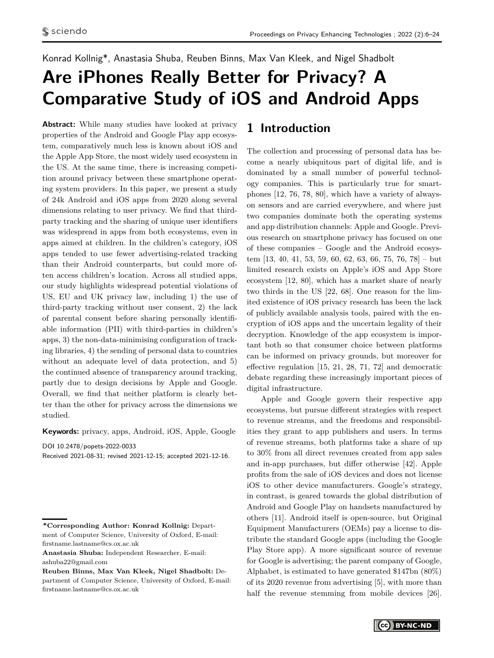Konrad Kollnig\*, Anastasia Shuba, Reuben Binns, Max Van Kleek, and Nigel Shadbolt

# **Are iPhones Really Better for Privacy? A Comparative Study of iOS and Android Apps**

**Abstract:** While many studies have looked at privacy properties of the Android and Google Play app ecosystem, comparatively much less is known about iOS and the Apple App Store, the most widely used ecosystem in the US. At the same time, there is increasing competition around privacy between these smartphone operating system providers. In this paper, we present a study of 24k Android and iOS apps from 2020 along several dimensions relating to user privacy. We find that thirdparty tracking and the sharing of unique user identifiers was widespread in apps from both ecosystems, even in apps aimed at children. In the children's category, iOS apps tended to use fewer advertising-related tracking than their Android counterparts, but could more often access children's location. Across all studied apps, our study highlights widespread potential violations of US, EU and UK privacy law, including 1) the use of third-party tracking without user consent, 2) the lack of parental consent before sharing personally identifiable information (PII) with third-parties in children's apps, 3) the non-data-minimising configuration of tracking libraries, 4) the sending of personal data to countries without an adequate level of data protection, and 5) the continued absence of transparency around tracking, partly due to design decisions by Apple and Google. Overall, we find that neither platform is clearly better than the other for privacy across the dimensions we studied.

**Keywords:** privacy, apps, Android, iOS, Apple, Google

DOI 10.2478/popets-2022-0033

Received 2021-08-31; revised 2021-12-15; accepted 2021-12-16.

**Anastasia Shuba:** Independent Researcher, E-mail: ashuba22@gmail.com

# **1 Introduction**

The collection and processing of personal data has become a nearly ubiquitous part of digital life, and is dominated by a small number of powerful technology companies. This is particularly true for smartphones [\[12,](#page-16-0) [76,](#page-18-1) [78,](#page-18-2) [80\]](#page-18-3), which have a variety of alwayson sensors and are carried everywhere, and where just two companies dominate both the operating systems and app distribution channels: Apple and Google. Previous research on smartphone privacy has focused on one of these companies – Google and the Android ecosystem [\[13,](#page-16-1) [40,](#page-17-0) [41,](#page-17-1) [53,](#page-17-2) [59,](#page-18-4) [60,](#page-18-5) [62,](#page-18-6) [63,](#page-18-7) [66,](#page-18-8) [75,](#page-18-9) [76,](#page-18-1) [78\]](#page-18-2) – but limited research exists on Apple's iOS and App Store ecosystem [\[12,](#page-16-0) [80\]](#page-18-3), which has a market share of nearly two thirds in the US [\[22,](#page-16-2) [68\]](#page-18-10). One reason for the limited existence of iOS privacy research has been the lack of publicly available analysis tools, paired with the encryption of iOS apps and the uncertain legality of their decryption. Knowledge of the app ecosystem is important both so that consumer choice between platforms can be informed on privacy grounds, but moreover for effective regulation [\[15,](#page-16-3) [21,](#page-16-4) [28,](#page-17-3) [71,](#page-18-11) [72\]](#page-18-12) and democratic debate regarding these increasingly important pieces of digital infrastructure.

Apple and Google govern their respective app ecosystems, but pursue different strategies with respect to revenue streams, and the freedoms and responsibilities they grant to app publishers and users. In terms of revenue streams, both platforms take a share of up to 30% from all direct revenues created from app sales and in-app purchases, but differ otherwise [\[42\]](#page-17-4). Apple profits from the sale of iOS devices and does not license iOS to other device manufacturers. Google's strategy, in contrast, is geared towards the global distribution of Android and Google Play on handsets manufactured by others [\[11\]](#page-16-5). Android itself is open-source, but Original Equipment Manufacturers (OEMs) pay a license to distribute the standard Google apps (including the Google Play Store app). A more significant source of revenue for Google is advertising; the parent company of Google, Alphabet, is estimated to have generated \$147bn (80%) of its 2020 revenue from advertising [\[5\]](#page-16-6), with more than half the revenue stemming from mobile devices [\[26\]](#page-16-7).

**<sup>\*</sup>Corresponding Author: Konrad Kollnig:** Department of Computer Science, University of Oxford, E-mail: firstname.lastname@cs.ox.ac.uk

**Reuben Binns, Max Van Kleek, Nigel Shadbolt:** Department of Computer Science, University of Oxford, E-mail: firstname.lastname@cs.ox.ac.uk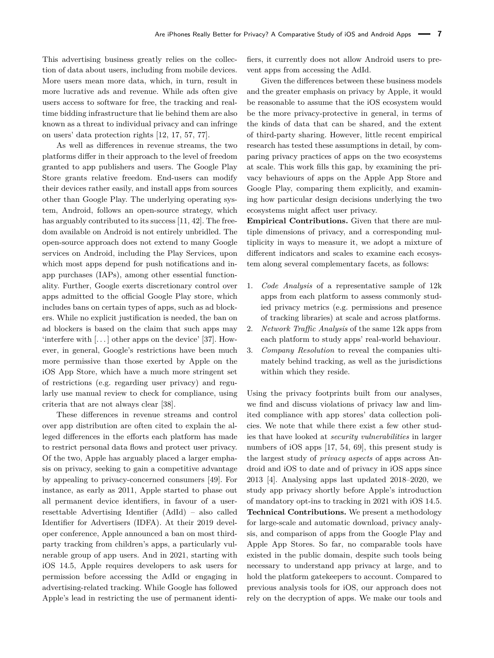This advertising business greatly relies on the collection of data about users, including from mobile devices. More users mean more data, which, in turn, result in more lucrative ads and revenue. While ads often give users access to software for free, the tracking and realtime bidding infrastructure that lie behind them are also known as a threat to individual privacy and can infringe on users' data protection rights [\[12,](#page-16-0) [17,](#page-16-8) [57,](#page-18-13) [77\]](#page-18-14).

As well as differences in revenue streams, the two platforms differ in their approach to the level of freedom granted to app publishers and users. The Google Play Store grants relative freedom. End-users can modify their devices rather easily, and install apps from sources other than Google Play. The underlying operating system, Android, follows an open-source strategy, which has arguably contributed to its success [\[11,](#page-16-5) [42\]](#page-17-4). The freedom available on Android is not entirely unbridled. The open-source approach does not extend to many Google services on Android, including the Play Services, upon which most apps depend for push notifications and inapp purchases (IAPs), among other essential functionality. Further, Google exerts discretionary control over apps admitted to the official Google Play store, which includes bans on certain types of apps, such as ad blockers. While no explicit justification is needed, the ban on ad blockers is based on the claim that such apps may 'interfere with  $\left[\ldots\right]$  other apps on the device' [\[37\]](#page-17-5). However, in general, Google's restrictions have been much more permissive than those exerted by Apple on the iOS App Store, which have a much more stringent set of restrictions (e.g. regarding user privacy) and regularly use manual review to check for compliance, using criteria that are not always clear [\[38\]](#page-17-6).

These differences in revenue streams and control over app distribution are often cited to explain the alleged differences in the efforts each platform has made to restrict personal data flows and protect user privacy. Of the two, Apple has arguably placed a larger emphasis on privacy, seeking to gain a competitive advantage by appealing to privacy-concerned consumers [\[49\]](#page-17-7). For instance, as early as 2011, Apple started to phase out all permanent device identifiers, in favour of a userresettable Advertising Identifier (AdId) – also called Identifier for Advertisers (IDFA). At their 2019 developer conference, Apple announced a ban on most thirdparty tracking from children's apps, a particularly vulnerable group of app users. And in 2021, starting with iOS 14.5, Apple requires developers to ask users for permission before accessing the AdId or engaging in advertising-related tracking. While Google has followed Apple's lead in restricting the use of permanent identifiers, it currently does not allow Android users to prevent apps from accessing the AdId.

Given the differences between these business models and the greater emphasis on privacy by Apple, it would be reasonable to assume that the iOS ecosystem would be the more privacy-protective in general, in terms of the kinds of data that can be shared, and the extent of third-party sharing. However, little recent empirical research has tested these assumptions in detail, by comparing privacy practices of apps on the two ecosystems at scale. This work fills this gap, by examining the privacy behaviours of apps on the Apple App Store and Google Play, comparing them explicitly, and examining how particular design decisions underlying the two ecosystems might affect user privacy.

**Empirical Contributions.** Given that there are multiple dimensions of privacy, and a corresponding multiplicity in ways to measure it, we adopt a mixture of different indicators and scales to examine each ecosystem along several complementary facets, as follows:

- 1. *Code Analysis* of a representative sample of 12k apps from each platform to assess commonly studied privacy metrics (e.g. permissions and presence of tracking libraries) at scale and across platforms.
- 2. *Network Traffic Analysis* of the same 12k apps from each platform to study apps' real-world behaviour.
- 3. *Company Resolution* to reveal the companies ultimately behind tracking, as well as the jurisdictions within which they reside.

Using the privacy footprints built from our analyses, we find and discuss violations of privacy law and limited compliance with app stores' data collection policies. We note that while there exist a few other studies that have looked at *security vulnerabilities* in larger numbers of iOS apps [\[17,](#page-16-8) [54,](#page-17-8) [69\]](#page-18-15), this present study is the largest study of *privacy aspects* of apps across Android and iOS to date and of privacy in iOS apps since 2013 [\[4\]](#page-16-9). Analysing apps last updated 2018–2020, we study app privacy shortly before Apple's introduction of mandatory opt-ins to tracking in 2021 with iOS 14.5. **Technical Contributions.** We present a methodology for large-scale and automatic download, privacy analysis, and comparison of apps from the Google Play and Apple App Stores. So far, no comparable tools have existed in the public domain, despite such tools being necessary to understand app privacy at large, and to hold the platform gatekeepers to account. Compared to previous analysis tools for iOS, our approach does not rely on the decryption of apps. We make our tools and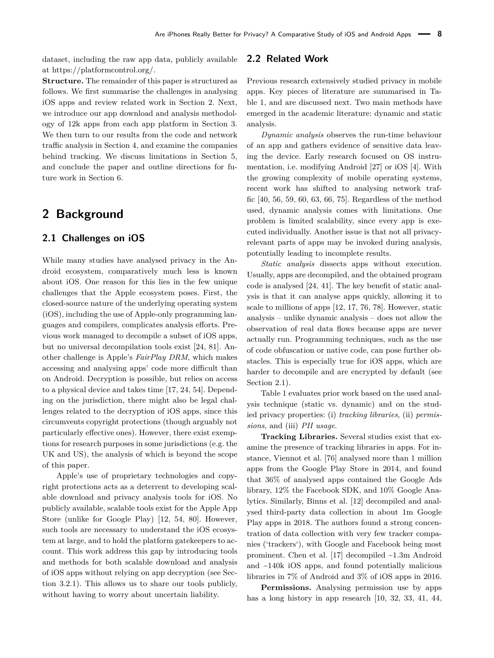dataset, including the raw app data, publicly available at [https://platformcontrol.org/.](https://platformcontrol.org/)

**Structure.** The remainder of this paper is structured as follows. We first summarise the challenges in analysing iOS apps and review related work in Section [2.](#page-2-0) Next, we introduce our app download and analysis methodology of 12k apps from each app platform in Section [3.](#page-3-0) We then turn to our results from the code and network traffic analysis in Section [4,](#page-7-0) and examine the companies behind tracking. We discuss limitations in Section [5,](#page-14-0) and conclude the paper and outline directions for future work in Section [6.](#page-14-1)

# <span id="page-2-0"></span>**2 Background**

### <span id="page-2-1"></span>**2.1 Challenges on iOS**

While many studies have analysed privacy in the Android ecosystem, comparatively much less is known about iOS. One reason for this lies in the few unique challenges that the Apple ecosystem poses. First, the closed-source nature of the underlying operating system (iOS), including the use of Apple-only programming languages and compilers, complicates analysis efforts. Previous work managed to decompile a subset of iOS apps, but no universal decompilation tools exist [\[24,](#page-16-10) [81\]](#page-18-16). Another challenge is Apple's *FairPlay DRM*, which makes accessing and analysing apps' code more difficult than on Android. Decryption is possible, but relies on access to a physical device and takes time [\[17,](#page-16-8) [24,](#page-16-10) [54\]](#page-17-8). Depending on the jurisdiction, there might also be legal challenges related to the decryption of iOS apps, since this circumvents copyright protections (though arguably not particularly effective ones). However, there exist exemptions for research purposes in some jurisdictions (e.g. the UK and US), the analysis of which is beyond the scope of this paper.

Apple's use of proprietary technologies and copyright protections acts as a deterrent to developing scalable download and privacy analysis tools for iOS. No publicly available, scalable tools exist for the Apple App Store (unlike for Google Play) [\[12,](#page-16-0) [54,](#page-17-8) [80\]](#page-18-3). However, such tools are necessary to understand the iOS ecosystem at large, and to hold the platform gatekeepers to account. This work address this gap by introducing tools and methods for both scalable download and analysis of iOS apps without relying on app decryption (see Section [3.2.1\)](#page-5-0). This allows us to share our tools publicly, without having to worry about uncertain liability.

#### **2.2 Related Work**

Previous research extensively studied privacy in mobile apps. Key pieces of literature are summarised in Table [1,](#page-3-1) and are discussed next. Two main methods have emerged in the academic literature: dynamic and static analysis.

*Dynamic analysis* observes the run-time behaviour of an app and gathers evidence of sensitive data leaving the device. Early research focused on OS instrumentation, i.e. modifying Android [\[27\]](#page-17-9) or iOS [\[4\]](#page-16-9). With the growing complexity of mobile operating systems, recent work has shifted to analysing network traffic [\[40,](#page-17-0) [56,](#page-18-17) [59,](#page-18-4) [60,](#page-18-5) [63,](#page-18-7) [66,](#page-18-8) [75\]](#page-18-9). Regardless of the method used, dynamic analysis comes with limitations. One problem is limited scalability, since every app is executed individually. Another issue is that not all privacyrelevant parts of apps may be invoked during analysis, potentially leading to incomplete results.

*Static analysis* dissects apps without execution. Usually, apps are decompiled, and the obtained program code is analysed [\[24,](#page-16-10) [41\]](#page-17-1). The key benefit of static analysis is that it can analyse apps quickly, allowing it to scale to millions of apps [\[12,](#page-16-0) [17,](#page-16-8) [76,](#page-18-1) [78\]](#page-18-2). However, static analysis – unlike dynamic analysis – does not allow the observation of real data flows because apps are never actually run. Programming techniques, such as the use of code obfuscation or native code, can pose further obstacles. This is especially true for iOS apps, which are harder to decompile and are encrypted by default (see Section [2.1\)](#page-2-1).

Table [1](#page-3-1) evaluates prior work based on the used analysis technique (static vs. dynamic) and on the studied privacy properties: (i) *tracking libraries*, (ii) *permissions*, and (iii) *PII usage*.

**Tracking Libraries.** Several studies exist that examine the presence of tracking libraries in apps. For instance, Viennot et al. [\[76\]](#page-18-1) analysed more than 1 million apps from the Google Play Store in 2014, and found that 36% of analysed apps contained the Google Ads library, 12% the Facebook SDK, and 10% Google Analytics. Similarly, Binns et al. [\[12\]](#page-16-0) decompiled and analysed third-party data collection in about 1m Google Play apps in 2018. The authors found a strong concentration of data collection with very few tracker companies ('trackers'), with Google and Facebook being most prominent. Chen et al. [\[17\]](#page-16-8) decompiled ~1.3m Android and ~140k iOS apps, and found potentially malicious libraries in 7% of Android and 3% of iOS apps in 2016.

**Permissions.** Analysing permission use by apps has a long history in app research [\[10,](#page-16-11) [32,](#page-17-10) [33,](#page-17-11) [41,](#page-17-1) [44,](#page-17-12)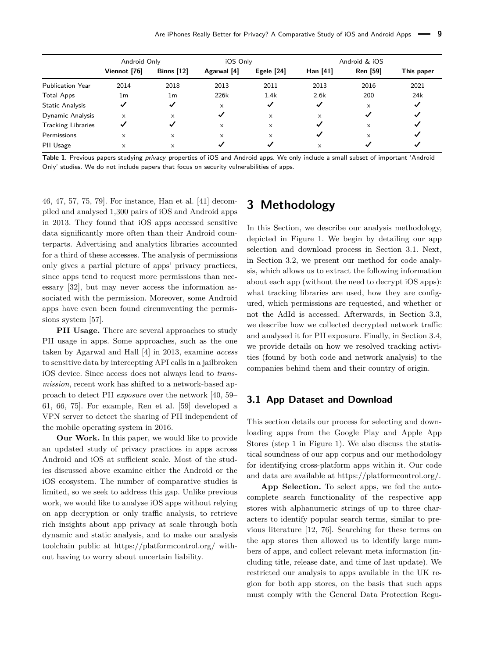<span id="page-3-1"></span>

|                           | Android Only   |                   | iOS Only     |            | Android & iOS   |                 |              |
|---------------------------|----------------|-------------------|--------------|------------|-----------------|-----------------|--------------|
|                           | Viennot [76]   | <b>Binns</b> [12] | Agarwal [4]  | Egele [24] | <b>Han</b> [41] | <b>Ren</b> [59] | This paper   |
| <b>Publication Year</b>   | 2014           | 2018              | 2013         | 2011       | 2013            | 2016            | 2021         |
| Total Apps                | 1 <sub>m</sub> | 1 <sub>m</sub>    | 226k         | 1.4k       | 2.6k            | 200             | 24k          |
| <b>Static Analysis</b>    |                | $\checkmark$      | $\times$     | ✓          | ✓               | X               | $\checkmark$ |
| Dynamic Analysis          | $\times$       | $\times$          | $\checkmark$ | X          | X               |                 |              |
| <b>Tracking Libraries</b> |                | $\checkmark$      | X            | X          | ✓               | X               |              |
| Permissions               | X              | $\times$          | $\times$     | X          |                 | X               |              |
| PII Usage                 | $\times$       | $\times$          | ✓            | ↵          | X               |                 |              |
|                           |                |                   |              |            |                 |                 |              |

**Table 1.** Previous papers studying privacy properties of iOS and Android apps. We only include a small subset of important 'Android Only' studies. We do not include papers that focus on security vulnerabilities of apps.

[46,](#page-17-13) [47,](#page-17-14) [57,](#page-18-13) [75,](#page-18-9) [79\]](#page-18-18). For instance, Han et al. [\[41\]](#page-17-1) decompiled and analysed 1,300 pairs of iOS and Android apps in 2013. They found that iOS apps accessed sensitive data significantly more often than their Android counterparts. Advertising and analytics libraries accounted for a third of these accesses. The analysis of permissions only gives a partial picture of apps' privacy practices, since apps tend to request more permissions than necessary [\[32\]](#page-17-10), but may never access the information associated with the permission. Moreover, some Android apps have even been found circumventing the permissions system [\[57\]](#page-18-13).

**PII Usage.** There are several approaches to study PII usage in apps. Some approaches, such as the one taken by Agarwal and Hall [\[4\]](#page-16-9) in 2013, examine *access* to sensitive data by intercepting API calls in a jailbroken iOS device. Since access does not always lead to *transmission*, recent work has shifted to a network-based approach to detect PII *exposure* over the network [\[40,](#page-17-0) [59–](#page-18-4) [61,](#page-18-19) [66,](#page-18-8) [75\]](#page-18-9). For example, Ren et al. [\[59\]](#page-18-4) developed a VPN server to detect the sharing of PII independent of the mobile operating system in 2016.

**Our Work.** In this paper, we would like to provide an updated study of privacy practices in apps across Android and iOS at sufficient scale. Most of the studies discussed above examine either the Android or the iOS ecosystem. The number of comparative studies is limited, so we seek to address this gap. Unlike previous work, we would like to analyse iOS apps without relying on app decryption or only traffic analysis, to retrieve rich insights about app privacy at scale through both dynamic and static analysis, and to make our analysis toolchain public at<https://platformcontrol.org/> without having to worry about uncertain liability.

# <span id="page-3-0"></span>**3 Methodology**

In this Section, we describe our analysis methodology, depicted in Figure [1.](#page-4-0) We begin by detailing our app selection and download process in Section [3.1.](#page-3-2) Next, in Section [3.2,](#page-5-1) we present our method for code analysis, which allows us to extract the following information about each app (without the need to decrypt iOS apps): what tracking libraries are used, how they are configured, which permissions are requested, and whether or not the AdId is accessed. Afterwards, in Section [3.3,](#page-6-0) we describe how we collected decrypted network traffic and analysed it for PII exposure. Finally, in Section [3.4,](#page-7-1) we provide details on how we resolved tracking activities (found by both code and network analysis) to the companies behind them and their country of origin.

### <span id="page-3-2"></span>**3.1 App Dataset and Download**

This section details our process for selecting and downloading apps from the Google Play and Apple App Stores (step 1 in Figure [1\)](#page-4-0). We also discuss the statistical soundness of our app corpus and our methodology for identifying cross-platform apps within it. Our code and data are available at [https://platformcontrol.org/.](https://platformcontrol.org/)

**App Selection.** To select apps, we fed the autocomplete search functionality of the respective app stores with alphanumeric strings of up to three characters to identify popular search terms, similar to previous literature [\[12,](#page-16-0) [76\]](#page-18-1). Searching for these terms on the app stores then allowed us to identify large numbers of apps, and collect relevant meta information (including title, release date, and time of last update). We restricted our analysis to apps available in the UK region for both app stores, on the basis that such apps must comply with the General Data Protection Regu-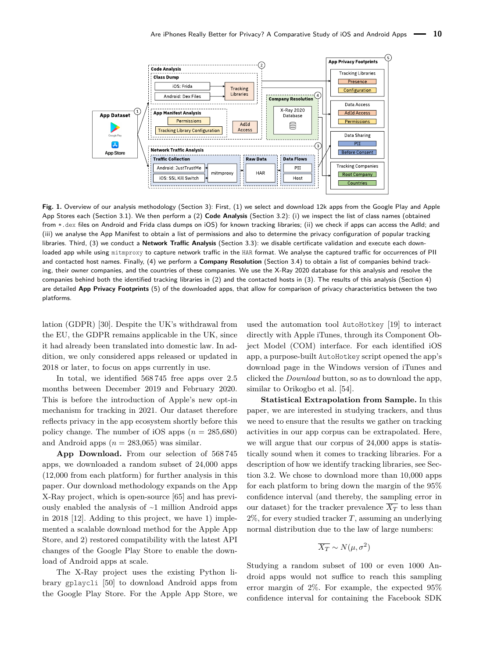<span id="page-4-0"></span>

**Fig. 1.** Overview of our analysis methodology (Section [3\)](#page-3-0): First, (1) we select and download 12k apps from the Google Play and Apple App Stores each (Section [3.1\)](#page-3-2). We then perform a (2) **Code Analysis** (Section [3.2\)](#page-5-1): (i) we inspect the list of class names (obtained from \*.dex files on Android and Frida class dumps on iOS) for known tracking libraries; (ii) we check if apps can access the AdId; and (iii) we analyse the App Manifest to obtain a list of permissions and also to determine the privacy configuration of popular tracking libraries. Third, (3) we conduct a **Network Traffic Analysis** (Section [3.3\)](#page-6-0): we disable certificate validation and execute each downloaded app while using mitmproxy to capture network traffic in the HAR format. We analyse the captured traffic for occurrences of PII and contacted host names. Finally, (4) we perform a **Company Resolution** (Section [3.4\)](#page-7-1) to obtain a list of companies behind tracking, their owner companies, and the countries of these companies. We use the X-Ray 2020 database for this analysis and resolve the companies behind both the identified tracking libraries in (2) and the contacted hosts in (3). The results of this analysis (Section [4\)](#page-7-0) are detailed **App Privacy Footprints** (5) of the downloaded apps, that allow for comparison of privacy characteristics between the two platforms.

lation (GDPR) [\[30\]](#page-17-15). Despite the UK's withdrawal from the EU, the GDPR remains applicable in the UK, since it had already been translated into domestic law. In addition, we only considered apps released or updated in 2018 or later, to focus on apps currently in use.

In total, we identified 568 745 free apps over 2.5 months between December 2019 and February 2020. This is before the introduction of Apple's new opt-in mechanism for tracking in 2021. Our dataset therefore reflects privacy in the app ecosystem shortly before this policy change. The number of iOS apps  $(n = 285,680)$ and Android apps  $(n = 283,065)$  was similar.

**App Download.** From our selection of 568 745 apps, we downloaded a random subset of 24,000 apps (12,000 from each platform) for further analysis in this paper. Our download methodology expands on the App X-Ray project, which is open-source [\[65\]](#page-18-20) and has previously enabled the analysis of ~1 million Android apps in 2018 [\[12\]](#page-16-0). Adding to this project, we have 1) implemented a scalable download method for the Apple App Store, and 2) restored compatibility with the latest API changes of the Google Play Store to enable the download of Android apps at scale.

The X-Ray project uses the existing Python library gplaycli [\[50\]](#page-17-16) to download Android apps from the Google Play Store. For the Apple App Store, we

used the automation tool AutoHotkey [\[19\]](#page-16-12) to interact directly with Apple iTunes, through its Component Object Model (COM) interface. For each identified iOS app, a purpose-built AutoHotkey script opened the app's download page in the Windows version of iTunes and clicked the *Download* button, so as to download the app, similar to Orikogbo et al. [\[54\]](#page-17-8).

**Statistical Extrapolation from Sample.** In this paper, we are interested in studying trackers, and thus we need to ensure that the results we gather on tracking activities in our app corpus can be extrapolated. Here, we will argue that our corpus of 24,000 apps is statistically sound when it comes to tracking libraries. For a description of how we identify tracking libraries, see Section [3.2.](#page-5-1) We chose to download more than 10,000 apps for each platform to bring down the margin of the 95% confidence interval (and thereby, the sampling error in our dataset) for the tracker prevalence  $\overline{X_T}$  to less than 2%, for every studied tracker *T*, assuming an underlying normal distribution due to the law of large numbers:

$$
\overline{X_T} \sim N(\mu, \sigma^2)
$$

Studying a random subset of 100 or even 1000 Android apps would not suffice to reach this sampling error margin of 2%. For example, the expected 95% confidence interval for containing the Facebook SDK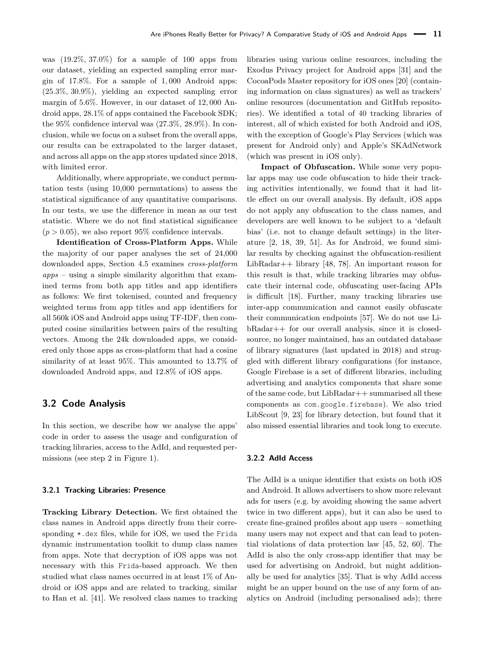was (19*.*2%*,* 37*.*0%) for a sample of 100 apps from our dataset, yielding an expected sampling error margin of 17*.*8%. For a sample of 1*,* 000 Android apps: (25*.*3%*,* 30*.*9%), yielding an expected sampling error margin of 5*.*6%. However, in our dataset of 12*,* 000 Android apps, 28*.*1% of apps contained the Facebook SDK; the 95% confidence interval was (27*.*3%*,* 28*.*9%). In conclusion, while we focus on a subset from the overall apps, our results can be extrapolated to the larger dataset, and across all apps on the app stores updated since 2018, with limited error.

Additionally, where appropriate, we conduct permutation tests (using 10,000 permutations) to assess the statistical significance of any quantitative comparisons. In our tests, we use the difference in mean as our test statistic. Where we do not find statistical significance  $(p > 0.05)$ , we also report 95\% confidence intervals.

**Identification of Cross-Platform Apps.** While the majority of our paper analyses the set of 24,000 downloaded apps, Section [4.5](#page-12-0) examines *cross-platform apps* – using a simple similarity algorithm that examined terms from both app titles and app identifiers as follows: We first tokenised, counted and frequency weighted terms from app titles and app identifiers for all 560k iOS and Android apps using TF-IDF, then computed cosine similarities between pairs of the resulting vectors. Among the 24k downloaded apps, we considered only those apps as cross-platform that had a cosine similarity of at least 95%. This amounted to 13.7% of downloaded Android apps, and 12.8% of iOS apps.

### <span id="page-5-1"></span>**3.2 Code Analysis**

In this section, we describe how we analyse the apps' code in order to assess the usage and configuration of tracking libraries, access to the AdId, and requested permissions (see step 2 in Figure [1\)](#page-4-0).

#### <span id="page-5-0"></span>**3.2.1 Tracking Libraries: Presence**

**Tracking Library Detection.** We first obtained the class names in Android apps directly from their corresponding \*.dex files, while for iOS, we used the Frida dynamic instrumentation toolkit to dump class names from apps. Note that decryption of iOS apps was not necessary with this Frida-based approach. We then studied what class names occurred in at least 1% of Android or iOS apps and are related to tracking, similar to Han et al. [\[41\]](#page-17-1). We resolved class names to tracking

libraries using various online resources, including the Exodus Privacy project for Android apps [\[31\]](#page-17-17) and the CocoaPods Master repository for iOS ones [\[20\]](#page-16-13) (containing information on class signatures) as well as trackers' online resources (documentation and GitHub repositories). We identified a total of 40 tracking libraries of interest, all of which existed for both Android and iOS, with the exception of Google's Play Services (which was present for Android only) and Apple's SKAdNetwork (which was present in iOS only).

**Impact of Obfuscation.** While some very popular apps may use code obfuscation to hide their tracking activities intentionally, we found that it had little effect on our overall analysis. By default, iOS apps do not apply any obfuscation to the class names, and developers are well known to be subject to a 'default bias' (i.e. not to change default settings) in the literature [\[2,](#page-16-14) [18,](#page-16-15) [39,](#page-17-18) [51\]](#page-17-19). As for Android, we found similar results by checking against the obfuscation-resilient LibRadar++ library [\[48,](#page-17-20) [78\]](#page-18-2). An important reason for this result is that, while tracking libraries may obfuscate their internal code, obfuscating user-facing APIs is difficult [\[18\]](#page-16-15). Further, many tracking libraries use inter-app communication and cannot easily obfuscate their communication endpoints [\[57\]](#page-18-13). We do not use LibRadar++ for our overall analysis, since it is closedsource, no longer maintained, has an outdated database of library signatures (last updated in 2018) and struggled with different library configurations (for instance, Google Firebase is a set of different libraries, including advertising and analytics components that share some of the same code, but LibRadar++ summarised all these components as com.google.firebase). We also tried LibScout [\[9,](#page-16-16) [23\]](#page-16-17) for library detection, but found that it also missed essential libraries and took long to execute.

#### **3.2.2 AdId Access**

The AdId is a unique identifier that exists on both iOS and Android. It allows advertisers to show more relevant ads for users (e.g. by avoiding showing the same advert twice in two different apps), but it can also be used to create fine-grained profiles about app users – something many users may not expect and that can lead to potential violations of data protection law [\[45,](#page-17-21) [52,](#page-17-22) [60\]](#page-18-5). The AdId is also the only cross-app identifier that may be used for advertising on Android, but might additionally be used for analytics [\[35\]](#page-17-23). That is why AdId access might be an upper bound on the use of any form of analytics on Android (including personalised ads); there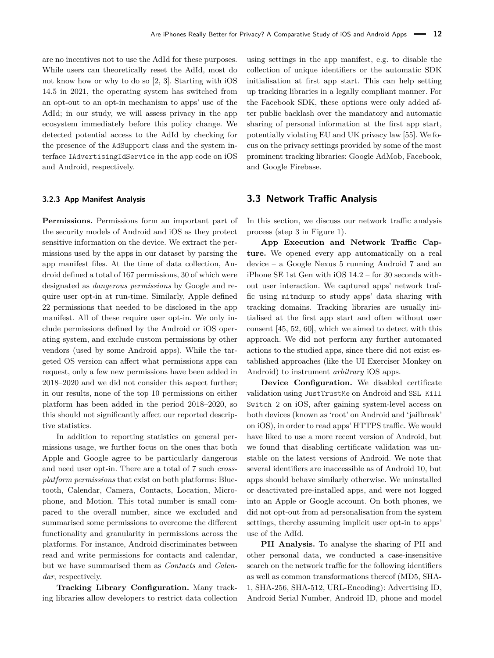are no incentives not to use the AdId for these purposes. While users can theoretically reset the AdId, most do not know how or why to do so [\[2,](#page-16-14) [3\]](#page-16-18). Starting with iOS 14.5 in 2021, the operating system has switched from an opt-out to an opt-in mechanism to apps' use of the AdId; in our study, we will assess privacy in the app ecosystem immediately before this policy change. We detected potential access to the AdId by checking for the presence of the AdSupport class and the system interface IAdvertisingIdService in the app code on iOS and Android, respectively.

#### <span id="page-6-1"></span>**3.2.3 App Manifest Analysis**

**Permissions.** Permissions form an important part of the security models of Android and iOS as they protect sensitive information on the device. We extract the permissions used by the apps in our dataset by parsing the app manifest files. At the time of data collection, Android defined a total of 167 permissions, 30 of which were designated as *dangerous permissions* by Google and require user opt-in at run-time. Similarly, Apple defined 22 permissions that needed to be disclosed in the app manifest. All of these require user opt-in. We only include permissions defined by the Android or iOS operating system, and exclude custom permissions by other vendors (used by some Android apps). While the targeted OS version can affect what permissions apps can request, only a few new permissions have been added in 2018–2020 and we did not consider this aspect further; in our results, none of the top 10 permissions on either platform has been added in the period 2018–2020, so this should not significantly affect our reported descriptive statistics.

In addition to reporting statistics on general permissions usage, we further focus on the ones that both Apple and Google agree to be particularly dangerous and need user opt-in. There are a total of 7 such *crossplatform permissions* that exist on both platforms: Bluetooth, Calendar, Camera, Contacts, Location, Microphone, and Motion. This total number is small compared to the overall number, since we excluded and summarised some permissions to overcome the different functionality and granularity in permissions across the platforms. For instance, Android discriminates between read and write permissions for contacts and calendar, but we have summarised them as *Contacts* and *Calendar*, respectively.

**Tracking Library Configuration.** Many tracking libraries allow developers to restrict data collection using settings in the app manifest, e.g. to disable the collection of unique identifiers or the automatic SDK initialisation at first app start. This can help setting up tracking libraries in a legally compliant manner. For the Facebook SDK, these options were only added after public backlash over the mandatory and automatic sharing of personal information at the first app start, potentially violating EU and UK privacy law [\[55\]](#page-17-24). We focus on the privacy settings provided by some of the most prominent tracking libraries: Google AdMob, Facebook, and Google Firebase.

### <span id="page-6-0"></span>**3.3 Network Traffic Analysis**

In this section, we discuss our network traffic analysis process (step 3 in Figure [1\)](#page-4-0).

**App Execution and Network Traffic Capture.** We opened every app automatically on a real device – a Google Nexus 5 running Android 7 and an iPhone SE 1st Gen with iOS 14.2 – for 30 seconds without user interaction. We captured apps' network traffic using mitmdump to study apps' data sharing with tracking domains. Tracking libraries are usually initialised at the first app start and often without user consent [\[45,](#page-17-21) [52,](#page-17-22) [60\]](#page-18-5), which we aimed to detect with this approach. We did not perform any further automated actions to the studied apps, since there did not exist established approaches (like the UI Exerciser Monkey on Android) to instrument *arbitrary* iOS apps.

**Device Configuration.** We disabled certificate validation using JustTrustMe on Android and SSL Kill Switch 2 on iOS, after gaining system-level access on both devices (known as 'root' on Android and 'jailbreak' on iOS), in order to read apps' HTTPS traffic. We would have liked to use a more recent version of Android, but we found that disabling certificate validation was unstable on the latest versions of Android. We note that several identifiers are inaccessible as of Android 10, but apps should behave similarly otherwise. We uninstalled or deactivated pre-installed apps, and were not logged into an Apple or Google account. On both phones, we did not opt-out from ad personalisation from the system settings, thereby assuming implicit user opt-in to apps' use of the AdId.

**PII Analysis.** To analyse the sharing of PII and other personal data, we conducted a case-insensitive search on the network traffic for the following identifiers as well as common transformations thereof (MD5, SHA-1, SHA-256, SHA-512, URL-Encoding): Advertising ID, Android Serial Number, Android ID, phone and model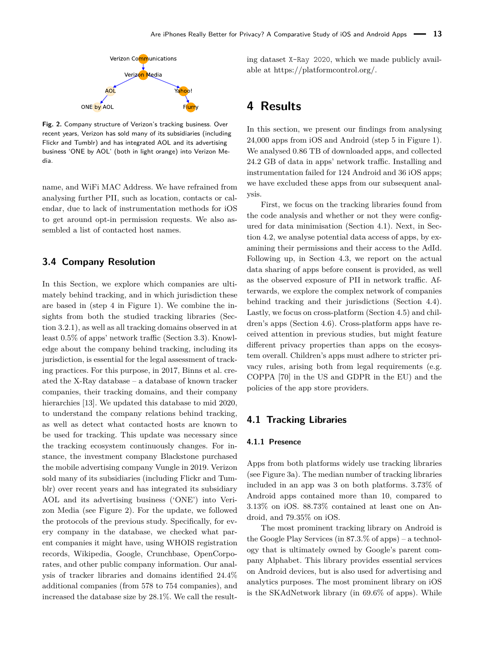<span id="page-7-2"></span>

**Fig. 2.** Company structure of Verizon's tracking business. Over recent years, Verizon has sold many of its subsidiaries (including Flickr and Tumblr) and has integrated AOL and its advertising business 'ONE by AOL' (both in light orange) into Verizon Media.

name, and WiFi MAC Address. We have refrained from analysing further PII, such as location, contacts or calendar, due to lack of instrumentation methods for iOS to get around opt-in permission requests. We also assembled a list of contacted host names.

# <span id="page-7-1"></span>**3.4 Company Resolution**

In this Section, we explore which companies are ultimately behind tracking, and in which jurisdiction these are based in (step 4 in Figure [1\)](#page-4-0). We combine the insights from both the studied tracking libraries (Section [3.2.1\)](#page-5-0), as well as all tracking domains observed in at least 0.5% of apps' network traffic (Section [3.3\)](#page-6-0). Knowledge about the company behind tracking, including its jurisdiction, is essential for the legal assessment of tracking practices. For this purpose, in 2017, Binns et al. created the X-Ray database – a database of known tracker companies, their tracking domains, and their company hierarchies [\[13\]](#page-16-1). We updated this database to mid 2020, to understand the company relations behind tracking, as well as detect what contacted hosts are known to be used for tracking. This update was necessary since the tracking ecosystem continuously changes. For instance, the investment company Blackstone purchased the mobile advertising company Vungle in 2019. Verizon sold many of its subsidiaries (including Flickr and Tumblr) over recent years and has integrated its subsidiary AOL and its advertising business ('ONE') into Verizon Media (see Figure [2\)](#page-7-2). For the update, we followed the protocols of the previous study. Specifically, for every company in the database, we checked what parent companies it might have, using WHOIS registration records, Wikipedia, Google, Crunchbase, OpenCorporates, and other public company information. Our analysis of tracker libraries and domains identified 24*.*4% additional companies (from 578 to 754 companies), and increased the database size by 28*.*1%. We call the resulting dataset X-Ray 2020, which we made publicly available at [https://platformcontrol.org/.](https://platformcontrol.org/)

# <span id="page-7-0"></span>**4 Results**

In this section, we present our findings from analysing 24,000 apps from iOS and Android (step 5 in Figure [1\)](#page-4-0). We analysed 0.86 TB of downloaded apps, and collected 24.2 GB of data in apps' network traffic. Installing and instrumentation failed for 124 Android and 36 iOS apps; we have excluded these apps from our subsequent analysis.

First, we focus on the tracking libraries found from the code analysis and whether or not they were configured for data minimisation (Section [4.1\)](#page-7-3). Next, in Section [4.2,](#page-9-0) we analyse potential data access of apps, by examining their permissions and their access to the AdId. Following up, in Section [4.3,](#page-11-0) we report on the actual data sharing of apps before consent is provided, as well as the observed exposure of PII in network traffic. Afterwards, we explore the complex network of companies behind tracking and their jurisdictions (Section [4.4\)](#page-11-1). Lastly, we focus on cross-platform (Section [4.5\)](#page-12-0) and children's apps (Section [4.6\)](#page-13-0). Cross-platform apps have received attention in previous studies, but might feature different privacy properties than apps on the ecosystem overall. Children's apps must adhere to stricter privacy rules, arising both from legal requirements (e.g. COPPA [\[70\]](#page-18-21) in the US and GDPR in the EU) and the policies of the app store providers.

### <span id="page-7-3"></span>**4.1 Tracking Libraries**

#### **4.1.1 Presence**

Apps from both platforms widely use tracking libraries (see Figure [3a\)](#page-8-0). The median number of tracking libraries included in an app was 3 on both platforms. 3.73% of Android apps contained more than 10, compared to 3.13% on iOS. 88.73% contained at least one on Android, and 79.35% on iOS.

The most prominent tracking library on Android is the Google Play Services (in 87.3.% of apps) – a technology that is ultimately owned by Google's parent company Alphabet. This library provides essential services on Android devices, but is also used for advertising and analytics purposes. The most prominent library on iOS is the SKAdNetwork library (in 69.6% of apps). While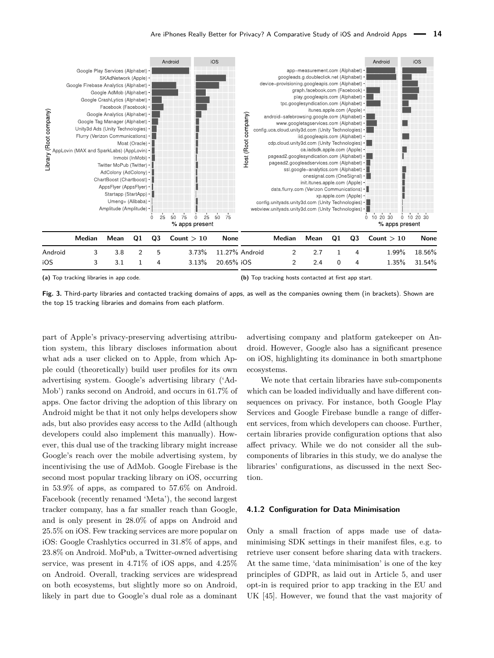<span id="page-8-0"></span>

**(a)** Top tracking libraries in app code.

**(b)** Top tracking hosts contacted at first app start.

**Fig. 3.** Third-party libraries and contacted tracking domains of apps, as well as the companies owning them (in brackets). Shown are the top 15 tracking libraries and domains from each platform.

part of Apple's privacy-preserving advertising attribution system, this library discloses information about what ads a user clicked on to Apple, from which Apple could (theoretically) build user profiles for its own advertising system. Google's advertising library ('Ad-Mob') ranks second on Android, and occurs in 61.7% of apps. One factor driving the adoption of this library on Android might be that it not only helps developers show ads, but also provides easy access to the AdId (although developers could also implement this manually). However, this dual use of the tracking library might increase Google's reach over the mobile advertising system, by incentivising the use of AdMob. Google Firebase is the second most popular tracking library on iOS, occurring in 53.9% of apps, as compared to 57.6% on Android. Facebook (recently renamed 'Meta'), the second largest tracker company, has a far smaller reach than Google, and is only present in 28.0% of apps on Android and 25.5% on iOS. Few tracking services are more popular on iOS: Google Crashlytics occurred in 31.8% of apps, and 23.8% on Android. MoPub, a Twitter-owned advertising service, was present in 4.71% of iOS apps, and 4.25% on Android. Overall, tracking services are widespread on both ecosystems, but slightly more so on Android, likely in part due to Google's dual role as a dominant

advertising company and platform gatekeeper on Android. However, Google also has a significant presence on iOS, highlighting its dominance in both smartphone ecosystems.

We note that certain libraries have sub-components which can be loaded individually and have different consequences on privacy. For instance, both Google Play Services and Google Firebase bundle a range of different services, from which developers can choose. Further, certain libraries provide configuration options that also affect privacy. While we do not consider all the subcomponents of libraries in this study, we do analyse the libraries' configurations, as discussed in the next Section.

#### **4.1.2 Configuration for Data Minimisation**

Only a small fraction of apps made use of dataminimising SDK settings in their manifest files, e.g. to retrieve user consent before sharing data with trackers. At the same time, 'data minimisation' is one of the key principles of GDPR, as laid out in Article 5, and user opt-in is required prior to app tracking in the EU and UK [\[45\]](#page-17-21). However, we found that the vast majority of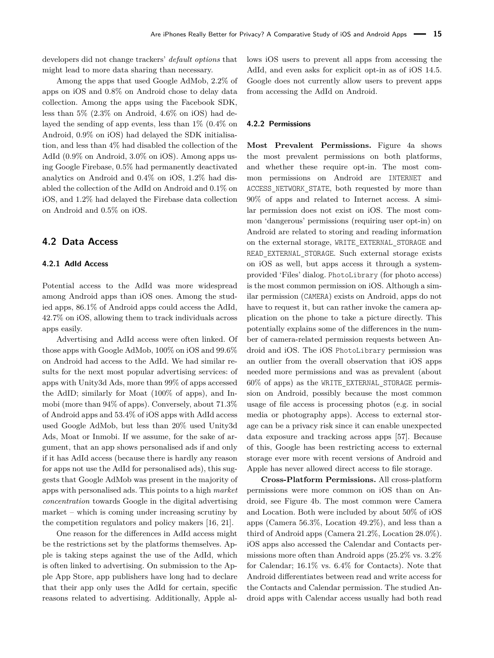developers did not change trackers' *default options* that might lead to more data sharing than necessary.

Among the apps that used Google AdMob, 2.2% of apps on iOS and 0.8% on Android chose to delay data collection. Among the apps using the Facebook SDK, less than  $5\%$   $(2.3\%$  on Android,  $4.6\%$  on iOS) had delayed the sending of app events, less than 1% (0.4% on Android, 0.9% on iOS) had delayed the SDK initialisation, and less than 4% had disabled the collection of the AdId (0.9% on Android, 3.0% on iOS). Among apps using Google Firebase, 0.5% had permanently deactivated analytics on Android and 0.4% on iOS, 1.2% had disabled the collection of the AdId on Android and 0.1% on iOS, and 1.2% had delayed the Firebase data collection on Android and 0.5% on iOS.

### <span id="page-9-0"></span>**4.2 Data Access**

#### <span id="page-9-2"></span>**4.2.1 AdId Access**

Potential access to the AdId was more widespread among Android apps than iOS ones. Among the studied apps, 86.1% of Android apps could access the AdId, 42.7% on iOS, allowing them to track individuals across apps easily.

Advertising and AdId access were often linked. Of those apps with Google AdMob, 100% on iOS and 99.6% on Android had access to the AdId. We had similar results for the next most popular advertising services: of apps with Unity3d Ads, more than 99% of apps accessed the AdID; similarly for Moat (100% of apps), and Inmobi (more than 94% of apps). Conversely, about 71.3% of Android apps and 53.4% of iOS apps with AdId access used Google AdMob, but less than 20% used Unity3d Ads, Moat or Inmobi. If we assume, for the sake of argument, that an app shows personalised ads if and only if it has AdId access (because there is hardly any reason for apps not use the AdId for personalised ads), this suggests that Google AdMob was present in the majority of apps with personalised ads. This points to a high *market concentration* towards Google in the digital advertising market – which is coming under increasing scrutiny by the competition regulators and policy makers [\[16,](#page-16-19) [21\]](#page-16-4).

One reason for the differences in AdId access might be the restrictions set by the platforms themselves. Apple is taking steps against the use of the AdId, which is often linked to advertising. On submission to the Apple App Store, app publishers have long had to declare that their app only uses the AdId for certain, specific reasons related to advertising. Additionally, Apple allows iOS users to prevent all apps from accessing the AdId, and even asks for explicit opt-in as of iOS 14.5. Google does not currently allow users to prevent apps from accessing the AdId on Android.

#### <span id="page-9-1"></span>**4.2.2 Permissions**

**Most Prevalent Permissions.** Figure [4a](#page-10-0) shows the most prevalent permissions on both platforms, and whether these require opt-in. The most common permissions on Android are INTERNET and ACCESS\_NETWORK\_STATE, both requested by more than 90% of apps and related to Internet access. A similar permission does not exist on iOS. The most common 'dangerous' permissions (requiring user opt-in) on Android are related to storing and reading information on the external storage, WRITE\_EXTERNAL\_STORAGE and READ\_EXTERNAL\_STORAGE. Such external storage exists on iOS as well, but apps access it through a systemprovided 'Files' dialog. PhotoLibrary (for photo access) is the most common permission on iOS. Although a similar permission (CAMERA) exists on Android, apps do not have to request it, but can rather invoke the camera application on the phone to take a picture directly. This potentially explains some of the differences in the number of camera-related permission requests between Android and iOS. The iOS PhotoLibrary permission was an outlier from the overall observation that iOS apps needed more permissions and was as prevalent (about 60% of apps) as the WRITE\_EXTERNAL\_STORAGE permission on Android, possibly because the most common usage of file access is processing photos (e.g. in social media or photography apps). Access to external storage can be a privacy risk since it can enable unexpected data exposure and tracking across apps [\[57\]](#page-18-13). Because of this, Google has been restricting access to external storage ever more with recent versions of Android and Apple has never allowed direct access to file storage.

**Cross-Platform Permissions.** All cross-platform permissions were more common on iOS than on Android, see Figure [4b.](#page-10-0) The most common were Camera and Location. Both were included by about 50% of iOS apps (Camera 56.3%, Location 49.2%), and less than a third of Android apps (Camera 21.2%, Location 28.0%). iOS apps also accessed the Calendar and Contacts permissions more often than Android apps (25.2% vs. 3.2% for Calendar; 16.1% vs. 6.4% for Contacts). Note that Android differentiates between read and write access for the Contacts and Calendar permission. The studied Android apps with Calendar access usually had both read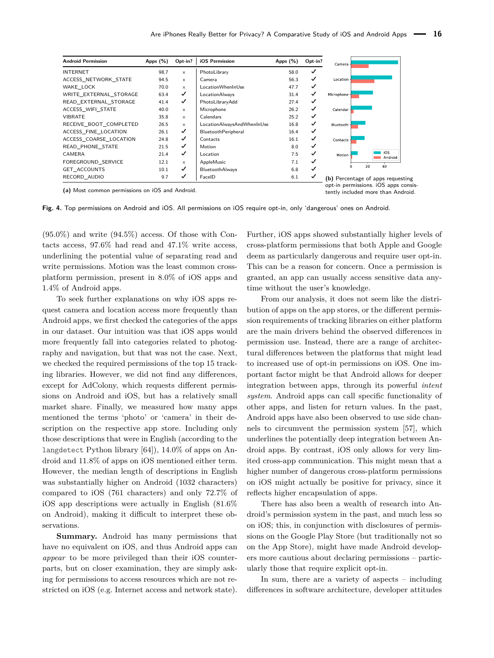<span id="page-10-0"></span>

| 98.7 |          |                            |      |   | Camera -     |                                                                                                         |
|------|----------|----------------------------|------|---|--------------|---------------------------------------------------------------------------------------------------------|
|      | $\times$ | PhotoLibrary               | 58.0 | ✓ |              |                                                                                                         |
| 94.5 | $\times$ | Camera                     | 56.3 | ✓ | Location -   |                                                                                                         |
| 70.0 | $\times$ | LocationWhenInUse          | 47.7 | ✓ |              |                                                                                                         |
| 63.4 | ✓        | LocationAlways             | 31.4 | ✓ | Microphone - |                                                                                                         |
| 41.4 | ✓        | PhotoLibraryAdd            | 27.4 | ✓ |              |                                                                                                         |
| 40.0 | $\times$ | Microphone                 | 26.2 | ✓ | Calendar-    |                                                                                                         |
| 35.8 | $\times$ | Calendars                  | 25.2 | ✓ |              |                                                                                                         |
| 26.5 | $\times$ | LocationAlwaysAndWhenInUse | 16.8 | ✓ | Bluetooth -  |                                                                                                         |
| 26.1 | ✓        | BluetoothPeripheral        | 16.4 | ✓ |              |                                                                                                         |
| 24.8 | ✓        | Contacts                   | 16.1 | ✓ | Contacts -   |                                                                                                         |
| 21.5 | ✓        | Motion                     | 8.0  | ✓ |              |                                                                                                         |
| 21.4 | ✓        | Location                   | 7.5  | ✓ | Motion -     |                                                                                                         |
| 12.1 | $\times$ | AppleMusic                 | 7.1  | ✓ |              |                                                                                                         |
| 10.1 | ✓        | <b>BluetoothAlways</b>     | 6.8  | ✓ |              |                                                                                                         |
| 9.7  | ✓        | FaceID                     | 6.1  | ✓ |              |                                                                                                         |
|      | .        |                            |      |   |              | iOS<br>Android<br>20<br>40<br>(b) Percentage of apps requesting<br>opt-in permissions. iOS apps consis- |

**(a)** Most common permissions on iOS and Android.



tently included more than Android.

**Fig. 4.** Top permissions on Android and iOS. All permissions on iOS require opt-in, only 'dangerous' ones on Android.

 $(95.0\%)$  and write  $(94.5\%)$  access. Of those with Contacts access, 97.6% had read and 47.1% write access, underlining the potential value of separating read and write permissions. Motion was the least common crossplatform permission, present in 8.0% of iOS apps and 1.4% of Android apps.

To seek further explanations on why iOS apps request camera and location access more frequently than Android apps, we first checked the categories of the apps in our dataset. Our intuition was that iOS apps would more frequently fall into categories related to photography and navigation, but that was not the case. Next, we checked the required permissions of the top 15 tracking libraries. However, we did not find any differences, except for AdColony, which requests different permissions on Android and iOS, but has a relatively small market share. Finally, we measured how many apps mentioned the terms 'photo' or 'camera' in their description on the respective app store. Including only those descriptions that were in English (according to the langdetect Python library [\[64\]](#page-18-22)), 14.0% of apps on Android and 11.8% of apps on iOS mentioned either term. However, the median length of descriptions in English was substantially higher on Android (1032 characters) compared to iOS (761 characters) and only 72.7% of iOS app descriptions were actually in English (81.6% on Android), making it difficult to interpret these observations.

**Summary.** Android has many permissions that have no equivalent on iOS, and thus Android apps can *appear* to be more privileged than their iOS counterparts, but on closer examination, they are simply asking for permissions to access resources which are not restricted on iOS (e.g. Internet access and network state). Further, iOS apps showed substantially higher levels of cross-platform permissions that both Apple and Google deem as particularly dangerous and require user opt-in. This can be a reason for concern. Once a permission is granted, an app can usually access sensitive data anytime without the user's knowledge.

From our analysis, it does not seem like the distribution of apps on the app stores, or the different permission requirements of tracking libraries on either platform are the main drivers behind the observed differences in permission use. Instead, there are a range of architectural differences between the platforms that might lead to increased use of opt-in permissions on iOS. One important factor might be that Android allows for deeper integration between apps, through its powerful *intent system*. Android apps can call specific functionality of other apps, and listen for return values. In the past, Android apps have also been observed to use side channels to circumvent the permission system [\[57\]](#page-18-13), which underlines the potentially deep integration between Android apps. By contrast, iOS only allows for very limited cross-app communication. This might mean that a higher number of dangerous cross-platform permissions on iOS might actually be positive for privacy, since it reflects higher encapsulation of apps.

There has also been a wealth of research into Android's permission system in the past, and much less so on iOS; this, in conjunction with disclosures of permissions on the Google Play Store (but traditionally not so on the App Store), might have made Android developers more cautious about declaring permissions – particularly those that require explicit opt-in.

In sum, there are a variety of aspects – including differences in software architecture, developer attitudes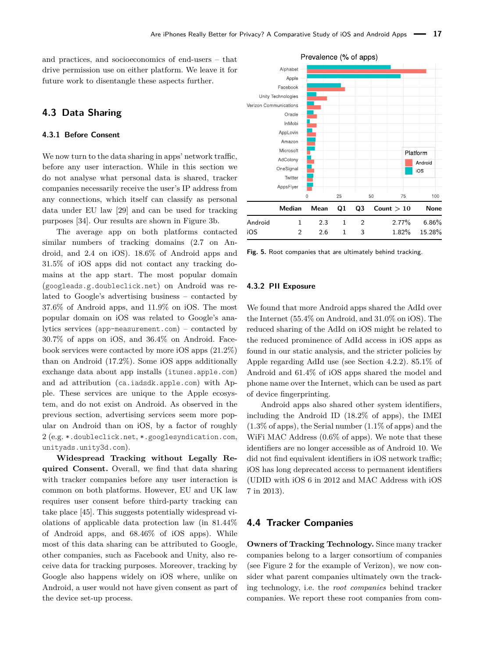and practices, and socioeconomics of end-users – that drive permission use on either platform. We leave it for future work to disentangle these aspects further.

# <span id="page-11-0"></span>**4.3 Data Sharing**

### **4.3.1 Before Consent**

We now turn to the data sharing in apps' network traffic, before any user interaction. While in this section we do not analyse what personal data is shared, tracker companies necessarily receive the user's IP address from any connections, which itself can classify as personal data under EU law [\[29\]](#page-17-25) and can be used for tracking purposes [\[34\]](#page-17-26). Our results are shown in Figure [3b.](#page-8-0)

The average app on both platforms contacted similar numbers of tracking domains (2.7 on Android, and 2.4 on iOS). 18.6% of Android apps and 31.5% of iOS apps did not contact any tracking domains at the app start. The most popular domain (googleads.g.doubleclick.net) on Android was related to Google's advertising business – contacted by 37.6% of Android apps, and 11.9% on iOS. The most popular domain on iOS was related to Google's analytics services (app-measurement.com) – contacted by 30.7% of apps on iOS, and 36.4% on Android. Facebook services were contacted by more iOS apps (21.2%) than on Android (17.2%). Some iOS apps additionally exchange data about app installs (itunes.apple.com) and ad attribution (ca.iadsdk.apple.com) with Apple. These services are unique to the Apple ecosystem, and do not exist on Android. As observed in the previous section, advertising services seem more popular on Android than on iOS, by a factor of roughly 2 (e.g. \*.doubleclick.net, \*.googlesyndication.com, unityads.unity3d.com).

**Widespread Tracking without Legally Required Consent.** Overall, we find that data sharing with tracker companies before any user interaction is common on both platforms. However, EU and UK law requires user consent before third-party tracking can take place [\[45\]](#page-17-21). This suggests potentially widespread violations of applicable data protection law (in 81.44% of Android apps, and 68.46% of iOS apps). While most of this data sharing can be attributed to Google, other companies, such as Facebook and Unity, also receive data for tracking purposes. Moreover, tracking by Google also happens widely on iOS where, unlike on Android, a user would not have given consent as part of the device set-up process.

<span id="page-11-2"></span>

**Fig. 5.** Root companies that are ultimately behind tracking.

#### **4.3.2 PII Exposure**

We found that more Android apps shared the AdId over the Internet (55.4% on Android, and 31.0% on iOS). The reduced sharing of the AdId on iOS might be related to the reduced prominence of AdId access in iOS apps as found in our static analysis, and the stricter policies by Apple regarding AdId use (see Section [4.2.2\)](#page-9-1). 85.1% of Android and 61.4% of iOS apps shared the model and phone name over the Internet, which can be used as part of device fingerprinting.

Android apps also shared other system identifiers, including the Android ID (18.2% of apps), the IMEI  $(1.3\% \text{ of apps})$ , the Serial number  $(1.1\% \text{ of apps})$  and the WiFi MAC Address (0.6% of apps). We note that these identifiers are no longer accessible as of Android 10. We did not find equivalent identifiers in iOS network traffic; iOS has long deprecated access to permanent identifiers (UDID with iOS 6 in 2012 and MAC Address with iOS 7 in 2013).

### <span id="page-11-1"></span>**4.4 Tracker Companies**

**Owners of Tracking Technology.** Since many tracker companies belong to a larger consortium of companies (see Figure [2](#page-7-2) for the example of Verizon), we now consider what parent companies ultimately own the tracking technology, i.e. the *root companies* behind tracker companies. We report these root companies from com-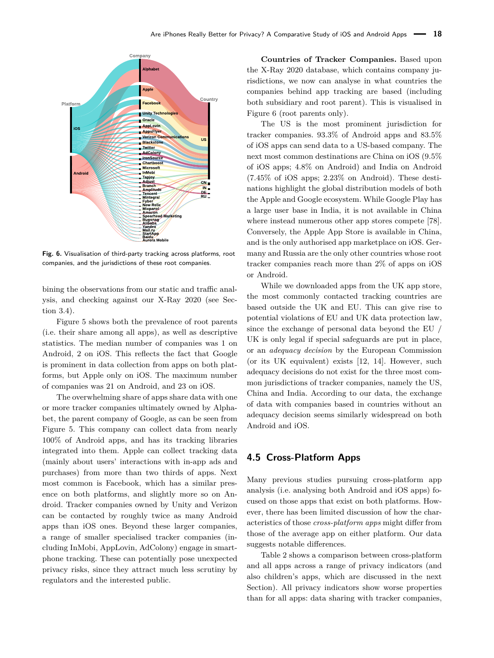<span id="page-12-1"></span>

**Fig. 6.** Visualisation of third-party tracking across platforms, root companies, and the jurisdictions of these root companies.

bining the observations from our static and traffic analysis, and checking against our X-Ray 2020 (see Section [3.4\)](#page-7-1).

Figure [5](#page-11-2) shows both the prevalence of root parents (i.e. their share among all apps), as well as descriptive statistics. The median number of companies was 1 on Android, 2 on iOS. This reflects the fact that Google is prominent in data collection from apps on both platforms, but Apple only on iOS. The maximum number of companies was 21 on Android, and 23 on iOS.

The overwhelming share of apps share data with one or more tracker companies ultimately owned by Alphabet, the parent company of Google, as can be seen from Figure [5.](#page-11-2) This company can collect data from nearly 100% of Android apps, and has its tracking libraries integrated into them. Apple can collect tracking data (mainly about users' interactions with in-app ads and purchases) from more than two thirds of apps. Next most common is Facebook, which has a similar presence on both platforms, and slightly more so on Android. Tracker companies owned by Unity and Verizon can be contacted by roughly twice as many Android apps than iOS ones. Beyond these larger companies, a range of smaller specialised tracker companies (including InMobi, AppLovin, AdColony) engage in smartphone tracking. These can potentially pose unexpected privacy risks, since they attract much less scrutiny by regulators and the interested public.

**Countries of Tracker Companies.** Based upon the X-Ray 2020 database, which contains company jurisdictions, we now can analyse in what countries the companies behind app tracking are based (including both subsidiary and root parent). This is visualised in Figure [6](#page-12-1) (root parents only).

The US is the most prominent jurisdiction for tracker companies. 93.3% of Android apps and 83.5% of iOS apps can send data to a US-based company. The next most common destinations are China on iOS (9.5% of iOS apps; 4.8% on Android) and India on Android (7.45% of iOS apps; 2.23% on Android). These destinations highlight the global distribution models of both the Apple and Google ecosystem. While Google Play has a large user base in India, it is not available in China where instead numerous other app stores compete [\[78\]](#page-18-2). Conversely, the Apple App Store is available in China, and is the only authorised app marketplace on iOS. Germany and Russia are the only other countries whose root tracker companies reach more than 2% of apps on iOS or Android.

While we downloaded apps from the UK app store, the most commonly contacted tracking countries are based outside the UK and EU. This can give rise to potential violations of EU and UK data protection law, since the exchange of personal data beyond the EU / UK is only legal if special safeguards are put in place, or an *adequacy decision* by the European Commission (or its UK equivalent) exists [\[12,](#page-16-0) [14\]](#page-16-20). However, such adequacy decisions do not exist for the three most common jurisdictions of tracker companies, namely the US, China and India. According to our data, the exchange of data with companies based in countries without an adequacy decision seems similarly widespread on both Android and iOS.

# <span id="page-12-0"></span>**4.5 Cross-Platform Apps**

Many previous studies pursuing cross-platform app analysis (i.e. analysing both Android and iOS apps) focused on those apps that exist on both platforms. However, there has been limited discussion of how the characteristics of those *cross-platform apps* might differ from those of the average app on either platform. Our data suggests notable differences.

Table [2](#page-13-1) shows a comparison between cross-platform and all apps across a range of privacy indicators (and also children's apps, which are discussed in the next Section). All privacy indicators show worse properties than for all apps: data sharing with tracker companies,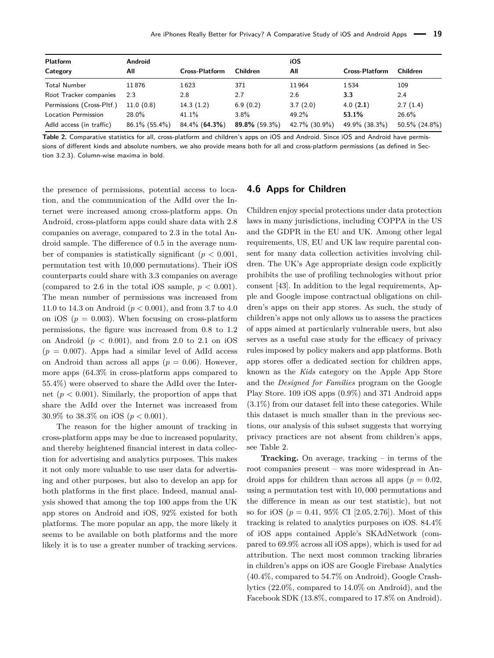<span id="page-13-1"></span>

| <b>Platform</b>           | Android          |                  |                  | iOS           |                |                 |  |
|---------------------------|------------------|------------------|------------------|---------------|----------------|-----------------|--|
| Category                  | ΑIΙ              | Cross-Platform   | <b>Children</b>  | All           | Cross-Platform | <b>Children</b> |  |
| <b>Total Number</b>       | 11876            | 1623             | 371              | 11964         | 1534           | 109             |  |
| Root Tracker companies    | 2.3              | 2.8              | 2.7              | 2.6           | 3.3            | 2.4             |  |
| Permissions (Cross-Pltf.) | 11.0(0.8)        | 14.3(1.2)        | 6.9(0.2)         | 3.7(2.0)      | 4.0(2.1)       | 2.7(1.4)        |  |
| Location Permission       | 28.0%            | 41.1%            | $3.8\%$          | 49.2%         | 53.1%          | 26.6%           |  |
| Adld access (in traffic)  | $86.1\%$ (55.4%) | $84.4\%$ (64.3%) | $89.8\%$ (59.3%) | 42.7% (30.9%) | 49.9% (38.3%)  | 50.5% (24.8%)   |  |

**Table 2.** Comparative statistics for all, cross-platform and children's apps on iOS and Android. Since iOS and Android have permissions of different kinds and absolute numbers, we also provide means both for all and cross-platform permissions (as defined in Section [3.2.3\)](#page-6-1). Column-wise maxima in bold.

the presence of permissions, potential access to location, and the communication of the AdId over the Internet were increased among cross-platform apps. On Android, cross-platform apps could share data with 2.8 companies on average, compared to 2.3 in the total Android sample. The difference of 0*.*5 in the average number of companies is statistically significant ( $p < 0.001$ , permutation test with 10,000 permutations). Their iOS counterparts could share with 3.3 companies on average (compared to 2.6 in the total iOS sample,  $p < 0.001$ ). The mean number of permissions was increased from 11.0 to 14.3 on Android (*p <* 0*.*001), and from 3.7 to 4.0 on iOS  $(p = 0.003)$ . When focusing on cross-platform permissions, the figure was increased from 0.8 to 1.2 on Android  $(p < 0.001)$ , and from 2.0 to 2.1 on iOS  $(p = 0.007)$ . Apps had a similar level of AdId access on Android than across all apps  $(p = 0.06)$ . However, more apps (64.3% in cross-platform apps compared to 55.4%) were observed to share the AdId over the Internet ( $p < 0.001$ ). Similarly, the proportion of apps that share the AdId over the Internet was increased from 30.9% to 38.3% on iOS (*p <* 0*.*001).

The reason for the higher amount of tracking in cross-platform apps may be due to increased popularity, and thereby heightened financial interest in data collection for advertising and analytics purposes. This makes it not only more valuable to use user data for advertising and other purposes, but also to develop an app for both platforms in the first place. Indeed, manual analysis showed that among the top 100 apps from the UK app stores on Android and iOS, 92% existed for both platforms. The more popular an app, the more likely it seems to be available on both platforms and the more likely it is to use a greater number of tracking services.

# <span id="page-13-0"></span>**4.6 Apps for Children**

Children enjoy special protections under data protection laws in many jurisdictions, including COPPA in the US and the GDPR in the EU and UK. Among other legal requirements, US, EU and UK law require parental consent for many data collection activities involving children. The UK's Age appropriate design code explicitly prohibits the use of profiling technologies without prior consent [\[43\]](#page-17-27). In addition to the legal requirements, Apple and Google impose contractual obligations on children's apps on their app stores. As such, the study of children's apps not only allows us to assess the practices of apps aimed at particularly vulnerable users, but also serves as a useful case study for the efficacy of privacy rules imposed by policy makers and app platforms. Both app stores offer a dedicated section for children apps, known as the *Kids* category on the Apple App Store and the *Designed for Families* program on the Google Play Store. 109 iOS apps (0.9%) and 371 Android apps (3.1%) from our dataset fell into these categories. While this dataset is much smaller than in the previous sections, our analysis of this subset suggests that worrying privacy practices are not absent from children's apps, see Table [2.](#page-13-1)

**Tracking.** On average, tracking – in terms of the root companies present – was more widespread in Android apps for children than across all apps  $(p = 0.02,$ using a permutation test with 10*,* 000 permutations and the difference in mean as our test statistic), but not so for iOS (*p* = 0*.*41, 95% CI [2*.*05*,* 2*.*76]). Most of this tracking is related to analytics purposes on iOS. 84.4% of iOS apps contained Apple's SKAdNetwork (compared to 69.9% across all iOS apps), which is used for ad attribution. The next most common tracking libraries in children's apps on iOS are Google Firebase Analytics (40.4%, compared to 54.7% on Android), Google Crashlytics (22.0%, compared to 14.0% on Android), and the Facebook SDK (13.8%, compared to 17.8% on Android).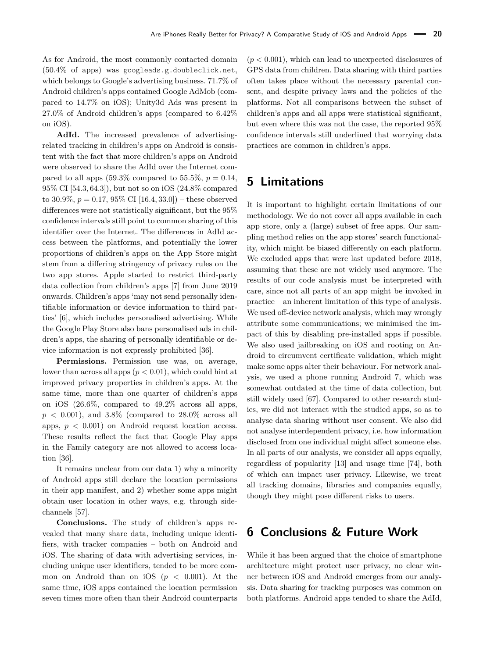As for Android, the most commonly contacted domain (50.4% of apps) was googleads.g.doubleclick.net, which belongs to Google's advertising business. 71.7% of Android children's apps contained Google AdMob (compared to 14.7% on iOS); Unity3d Ads was present in 27.0% of Android children's apps (compared to 6.42% on iOS).

**AdId.** The increased prevalence of advertisingrelated tracking in children's apps on Android is consistent with the fact that more children's apps on Android were observed to share the AdId over the Internet compared to all apps  $(59.3\% \text{ compared to } 55.5\%, p = 0.14,$ 95% CI [54*.*3*,* 64*.*3]), but not so on iOS (24.8% compared to  $30.9\%$ ,  $p = 0.17$ ,  $95\%$  CI [16.4, 33.0]) – these observed differences were not statistically significant, but the 95% confidence intervals still point to common sharing of this identifier over the Internet. The differences in AdId access between the platforms, and potentially the lower proportions of children's apps on the App Store might stem from a differing stringency of privacy rules on the two app stores. Apple started to restrict third-party data collection from children's apps [\[7\]](#page-16-21) from June 2019 onwards. Children's apps 'may not send personally identifiable information or device information to third parties' [\[6\]](#page-16-22), which includes personalised advertising. While the Google Play Store also bans personalised ads in children's apps, the sharing of personally identifiable or device information is not expressly prohibited [\[36\]](#page-17-28).

**Permissions.** Permission use was, on average, lower than across all apps (*p <* 0*.*01), which could hint at improved privacy properties in children's apps. At the same time, more than one quarter of children's apps on iOS (26.6%, compared to 49.2% across all apps,  $p < 0.001$ , and  $3.8\%$  (compared to  $28.0\%$  across all apps,  $p < 0.001$  on Android request location access. These results reflect the fact that Google Play apps in the Family category are not allowed to access location [\[36\]](#page-17-28).

It remains unclear from our data 1) why a minority of Android apps still declare the location permissions in their app manifest, and 2) whether some apps might obtain user location in other ways, e.g. through sidechannels [\[57\]](#page-18-13).

**Conclusions.** The study of children's apps revealed that many share data, including unique identifiers, with tracker companies – both on Android and iOS. The sharing of data with advertising services, including unique user identifiers, tended to be more common on Android than on iOS  $(p < 0.001)$ . At the same time, iOS apps contained the location permission seven times more often than their Android counterparts

(*p <* 0*.*001), which can lead to unexpected disclosures of GPS data from children. Data sharing with third parties often takes place without the necessary parental consent, and despite privacy laws and the policies of the platforms. Not all comparisons between the subset of children's apps and all apps were statistical significant, but even where this was not the case, the reported 95% confidence intervals still underlined that worrying data practices are common in children's apps.

# <span id="page-14-0"></span>**5 Limitations**

It is important to highlight certain limitations of our methodology. We do not cover all apps available in each app store, only a (large) subset of free apps. Our sampling method relies on the app stores' search functionality, which might be biased differently on each platform. We excluded apps that were last updated before 2018, assuming that these are not widely used anymore. The results of our code analysis must be interpreted with care, since not all parts of an app might be invoked in practice – an inherent limitation of this type of analysis. We used off-device network analysis, which may wrongly attribute some communications; we minimised the impact of this by disabling pre-installed apps if possible. We also used jailbreaking on iOS and rooting on Android to circumvent certificate validation, which might make some apps alter their behaviour. For network analysis, we used a phone running Android 7, which was somewhat outdated at the time of data collection, but still widely used [\[67\]](#page-18-23). Compared to other research studies, we did not interact with the studied apps, so as to analyse data sharing without user consent. We also did not analyse interdependent privacy, i.e. how information disclosed from one individual might affect someone else. In all parts of our analysis, we consider all apps equally, regardless of popularity [\[13\]](#page-16-1) and usage time [\[74\]](#page-18-24), both of which can impact user privacy. Likewise, we treat all tracking domains, libraries and companies equally, though they might pose different risks to users.

# <span id="page-14-1"></span>**6 Conclusions & Future Work**

While it has been argued that the choice of smartphone architecture might protect user privacy, no clear winner between iOS and Android emerges from our analysis. Data sharing for tracking purposes was common on both platforms. Android apps tended to share the AdId,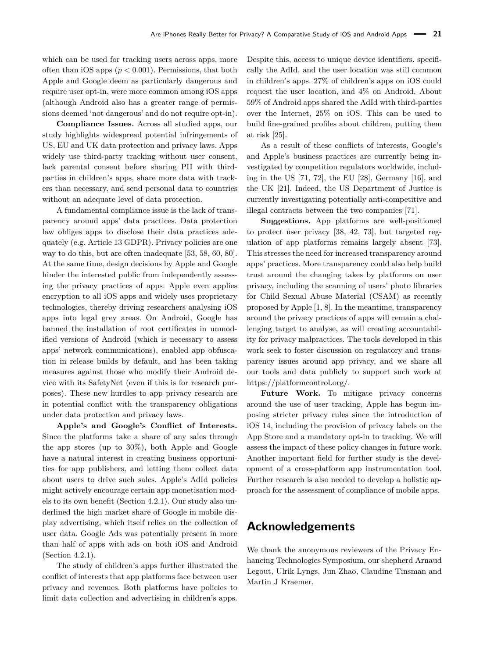which can be used for tracking users across apps, more often than iOS apps  $(p < 0.001)$ . Permissions, that both Apple and Google deem as particularly dangerous and require user opt-in, were more common among iOS apps (although Android also has a greater range of permissions deemed 'not dangerous' and do not require opt-in).

**Compliance Issues.** Across all studied apps, our study highlights widespread potential infringements of US, EU and UK data protection and privacy laws. Apps widely use third-party tracking without user consent, lack parental consent before sharing PII with thirdparties in children's apps, share more data with trackers than necessary, and send personal data to countries without an adequate level of data protection.

A fundamental compliance issue is the lack of transparency around apps' data practices. Data protection law obliges apps to disclose their data practices adequately (e.g. Article 13 GDPR). Privacy policies are one way to do this, but are often inadequate [\[53,](#page-17-2) [58,](#page-18-25) [60,](#page-18-5) [80\]](#page-18-3). At the same time, design decisions by Apple and Google hinder the interested public from independently assessing the privacy practices of apps. Apple even applies encryption to all iOS apps and widely uses proprietary technologies, thereby driving researchers analysing iOS apps into legal grey areas. On Android, Google has banned the installation of root certificates in unmodified versions of Android (which is necessary to assess apps' network communications), enabled app obfuscation in release builds by default, and has been taking measures against those who modify their Android device with its SafetyNet (even if this is for research purposes). These new hurdles to app privacy research are in potential conflict with the transparency obligations under data protection and privacy laws.

**Apple's and Google's Conflict of Interests.** Since the platforms take a share of any sales through the app stores (up to 30%), both Apple and Google have a natural interest in creating business opportunities for app publishers, and letting them collect data about users to drive such sales. Apple's AdId policies might actively encourage certain app monetisation models to its own benefit (Section [4.2.1\)](#page-9-2). Our study also underlined the high market share of Google in mobile display advertising, which itself relies on the collection of user data. Google Ads was potentially present in more than half of apps with ads on both iOS and Android (Section [4.2.1\)](#page-9-2).

The study of children's apps further illustrated the conflict of interests that app platforms face between user privacy and revenues. Both platforms have policies to limit data collection and advertising in children's apps.

Despite this, access to unique device identifiers, specifically the AdId, and the user location was still common in children's apps. 27% of children's apps on iOS could request the user location, and 4% on Android. About 59% of Android apps shared the AdId with third-parties over the Internet, 25% on iOS. This can be used to build fine-grained profiles about children, putting them at risk [\[25\]](#page-16-23).

As a result of these conflicts of interests, Google's and Apple's business practices are currently being investigated by competition regulators worldwide, including in the US [\[71,](#page-18-11) [72\]](#page-18-12), the EU [\[28\]](#page-17-3), Germany [\[16\]](#page-16-19), and the UK [\[21\]](#page-16-4). Indeed, the US Department of Justice is currently investigating potentially anti-competitive and illegal contracts between the two companies [\[71\]](#page-18-11).

**Suggestions.** App platforms are well-positioned to protect user privacy [\[38,](#page-17-6) [42,](#page-17-4) [73\]](#page-18-26), but targeted regulation of app platforms remains largely absent [\[73\]](#page-18-26). This stresses the need for increased transparency around apps' practices. More transparency could also help build trust around the changing takes by platforms on user privacy, including the scanning of users' photo libraries for Child Sexual Abuse Material (CSAM) as recently proposed by Apple [\[1,](#page-16-24) [8\]](#page-16-25). In the meantime, transparency around the privacy practices of apps will remain a challenging target to analyse, as will creating accountability for privacy malpractices. The tools developed in this work seek to foster discussion on regulatory and transparency issues around app privacy, and we share all our tools and data publicly to support such work at [https://platformcontrol.org/.](https://platformcontrol.org/)

**Future Work.** To mitigate privacy concerns around the use of user tracking, Apple has begun imposing stricter privacy rules since the introduction of iOS 14, including the provision of privacy labels on the App Store and a mandatory opt-in to tracking. We will assess the impact of these policy changes in future work. Another important field for further study is the development of a cross-platform app instrumentation tool. Further research is also needed to develop a holistic approach for the assessment of compliance of mobile apps.

# **Acknowledgements**

We thank the anonymous reviewers of the Privacy Enhancing Technologies Symposium, our shepherd Arnaud Legout, Ulrik Lyngs, Jun Zhao, Claudine Tinsman and Martin J Kraemer.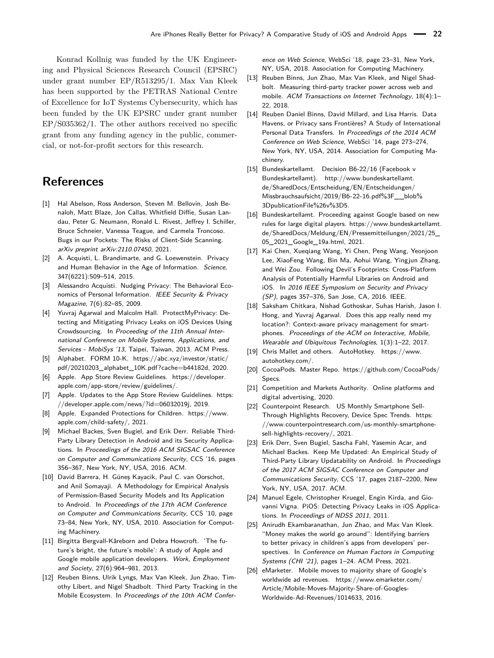Konrad Kollnig was funded by the UK Engineering and Physical Sciences Research Council (EPSRC) under grant number EP/R513295/1. Max Van Kleek has been supported by the PETRAS National Centre of Excellence for IoT Systems Cybersecurity, which has been funded by the UK EPSRC under grant number EP/S035362/1. The other authors received no specific grant from any funding agency in the public, commercial, or not-for-profit sectors for this research.

# **References**

- <span id="page-16-24"></span>[1] Hal Abelson, Ross Anderson, Steven M. Bellovin, Josh Benaloh, Matt Blaze, Jon Callas, Whitfield Diffie, Susan Landau, Peter G. Neumann, Ronald L. Rivest, Jeffrey I. Schiller, Bruce Schneier, Vanessa Teague, and Carmela Troncoso. Bugs in our Pockets: The Risks of Client-Side Scanning. arXiv preprint arXiv:2110.07450, 2021.
- <span id="page-16-14"></span>[2] A. Acquisti, L. Brandimarte, and G. Loewenstein. Privacy and Human Behavior in the Age of Information. Science, 347(6221):509–514, 2015.
- <span id="page-16-18"></span>[3] Alessandro Acquisti. Nudging Privacy: The Behavioral Economics of Personal Information. IEEE Security & Privacy Magazine, 7(6):82–85, 2009.
- <span id="page-16-9"></span>[4] Yuvraj Agarwal and Malcolm Hall. ProtectMyPrivacy: Detecting and Mitigating Privacy Leaks on iOS Devices Using Crowdsourcing. In Proceeding of the 11th Annual International Conference on Mobile Systems, Applications, and Services - MobiSys '13, Taipei, Taiwan, 2013. ACM Press.
- <span id="page-16-6"></span>[5] Alphabet. FORM 10-K. [https://abc.xyz/investor/static/](https://abc.xyz/investor/static/pdf/20210203_alphabet_10K.pdf?cache=b44182d) [pdf/20210203\\_alphabet\\_10K.pdf?cache=b44182d,](https://abc.xyz/investor/static/pdf/20210203_alphabet_10K.pdf?cache=b44182d) 2020.
- <span id="page-16-22"></span>[6] Apple. App Store Review Guidelines. [https://developer.](https://developer.apple.com/app-store/review/guidelines/) [apple.com/app-store/review/guidelines/.](https://developer.apple.com/app-store/review/guidelines/)
- <span id="page-16-21"></span>[7] Apple. Updates to the App Store Review Guidelines. [https:](https://developer.apple.com/news/?id=06032019j)  $//$ developer.apple.com/news/?id=06032019j, 2019.
- <span id="page-16-25"></span>[8] Apple. Expanded Protections for Children. [https://www.](https://www.apple.com/child-safety/) [apple.com/child-safety/,](https://www.apple.com/child-safety/) 2021.
- <span id="page-16-16"></span>[9] Michael Backes, Sven Bugiel, and Erik Derr. Reliable Third-Party Library Detection in Android and its Security Applications. In Proceedings of the 2016 ACM SIGSAC Conference on Computer and Communications Security, CCS '16, pages 356–367, New York, NY, USA, 2016. ACM.
- <span id="page-16-11"></span>[10] David Barrera, H. Güneş Kayacik, Paul C. van Oorschot, and Anil Somayaji. A Methodology for Empirical Analysis of Permission-Based Security Models and Its Application to Android. In Proceedings of the 17th ACM Conference on Computer and Communications Security, CCS '10, page 73–84, New York, NY, USA, 2010. Association for Computing Machinery.
- <span id="page-16-5"></span>[11] Birgitta Bergvall-Kåreborn and Debra Howcroft. 'The future's bright, the future's mobile': A study of Apple and Google mobile application developers. Work, Employment and Society, 27(6):964–981, 2013.
- <span id="page-16-0"></span>[12] Reuben Binns, Ulrik Lyngs, Max Van Kleek, Jun Zhao, Timothy Libert, and Nigel Shadbolt. Third Party Tracking in the Mobile Ecosystem. In Proceedings of the 10th ACM Confer-

ence on Web Science, WebSci '18, page 23–31, New York, NY, USA, 2018. Association for Computing Machinery.

- <span id="page-16-1"></span>[13] Reuben Binns, Jun Zhao, Max Van Kleek, and Nigel Shadbolt. Measuring third-party tracker power across web and mobile. ACM Transactions on Internet Technology, 18(4):1– 22, 2018.
- <span id="page-16-20"></span>[14] Reuben Daniel Binns, David Millard, and Lisa Harris. Data Havens, or Privacy sans Frontières? A Study of International Personal Data Transfers. In Proceedings of the 2014 ACM Conference on Web Science, WebSci '14, page 273–274, New York, NY, USA, 2014. Association for Computing Machinery.
- <span id="page-16-3"></span>[15] Bundeskartellamt. Decision B6-22/16 (Facebook v Bundeskartellamt). [http://www.bundeskartellamt.](http://www.bundeskartellamt.de/SharedDocs/Entscheidung/EN/Entscheidungen/Missbrauchsaufsicht/2019/B6-22-16.pdf%3F__blob%3DpublicationFile%26v%3D5) [de/SharedDocs/Entscheidung/EN/Entscheidungen/](http://www.bundeskartellamt.de/SharedDocs/Entscheidung/EN/Entscheidungen/Missbrauchsaufsicht/2019/B6-22-16.pdf%3F__blob%3DpublicationFile%26v%3D5) [Missbrauchsaufsicht/2019/B6-22-16.pdf%3F\\_\\_blob%](http://www.bundeskartellamt.de/SharedDocs/Entscheidung/EN/Entscheidungen/Missbrauchsaufsicht/2019/B6-22-16.pdf%3F__blob%3DpublicationFile%26v%3D5) [3DpublicationFile%26v%3D5.](http://www.bundeskartellamt.de/SharedDocs/Entscheidung/EN/Entscheidungen/Missbrauchsaufsicht/2019/B6-22-16.pdf%3F__blob%3DpublicationFile%26v%3D5)
- <span id="page-16-19"></span>[16] Bundeskartellamt. Proceeding against Google based on new rules for large digital players. [https://www.bundeskartellamt.](https://www.bundeskartellamt.de/SharedDocs/Meldung/EN/Pressemitteilungen/2021/25_05_2021_Google_19a.html) [de/SharedDocs/Meldung/EN/Pressemitteilungen/2021/25\\_](https://www.bundeskartellamt.de/SharedDocs/Meldung/EN/Pressemitteilungen/2021/25_05_2021_Google_19a.html) [05\\_2021\\_Google\\_19a.html,](https://www.bundeskartellamt.de/SharedDocs/Meldung/EN/Pressemitteilungen/2021/25_05_2021_Google_19a.html) 2021.
- <span id="page-16-8"></span>[17] Kai Chen, Xueqiang Wang, Yi Chen, Peng Wang, Yeonjoon Lee, XiaoFeng Wang, Bin Ma, Aohui Wang, Yingjun Zhang, and Wei Zou. Following Devil's Footprints: Cross-Platform Analysis of Potentially Harmful Libraries on Android and iOS. In 2016 IEEE Symposium on Security and Privacy (SP), pages 357–376, San Jose, CA, 2016. IEEE.
- <span id="page-16-15"></span>[18] Saksham Chitkara, Nishad Gothoskar, Suhas Harish, Jason I. Hong, and Yuvraj Agarwal. Does this app really need my location?: Context-aware privacy management for smartphones. Proceedings of the ACM on Interactive, Mobile, Wearable and Ubiquitous Technologies, 1(3):1–22, 2017.
- <span id="page-16-12"></span>[19] Chris Mallet and others. AutoHotkey. [https://www.](https://www.autohotkey.com/) [autohotkey.com/.](https://www.autohotkey.com/)
- <span id="page-16-13"></span>[20] CocoaPods. Master Repo. [https://github.com/CocoaPods/](https://github.com/CocoaPods/Specs) [Specs.](https://github.com/CocoaPods/Specs)
- <span id="page-16-4"></span>[21] Competition and Markets Authority. Online platforms and digital advertising, 2020.
- <span id="page-16-2"></span>[22] Counterpoint Research. US Monthly Smartphone Sell-Through Highlights Recovery, Device Spec Trends. [https:](https://www.counterpointresearch.com/us-monthly-smartphone-sell-highlights-recovery/) [//www.counterpointresearch.com/us-monthly-smartphone](https://www.counterpointresearch.com/us-monthly-smartphone-sell-highlights-recovery/)[sell-highlights-recovery/,](https://www.counterpointresearch.com/us-monthly-smartphone-sell-highlights-recovery/) 2021.
- <span id="page-16-17"></span>[23] Erik Derr, Sven Bugiel, Sascha Fahl, Yasemin Acar, and Michael Backes. Keep Me Updated: An Empirical Study of Third-Party Library Updatability on Android. In Proceedings of the 2017 ACM SIGSAC Conference on Computer and Communications Security, CCS '17, pages 2187–2200, New York, NY, USA, 2017. ACM.
- <span id="page-16-10"></span>[24] Manuel Egele, Christopher Kruegel, Engin Kirda, and Giovanni Vigna. PiOS: Detecting Privacy Leaks in iOS Applications. In Proceedings of NDSS 2011, 2011.
- <span id="page-16-23"></span>[25] Anirudh Ekambaranathan, Jun Zhao, and Max Van Kleek. "Money makes the world go around": Identifying barriers to better privacy in children's apps from developers' perspectives. In Conference on Human Factors in Computing Systems (CHI '21), pages 1–24. ACM Press, 2021.
- <span id="page-16-7"></span>[26] eMarketer. Mobile moves to majority share of Google's worldwide ad revenues. [https://www.emarketer.com/](https://www.emarketer.com/Article/Mobile-Moves-Majority-Share-of-Googles-Worldwide-Ad-Revenues/1014633) [Article/Mobile-Moves-Majority-Share-of-Googles-](https://www.emarketer.com/Article/Mobile-Moves-Majority-Share-of-Googles-Worldwide-Ad-Revenues/1014633)[Worldwide-Ad-Revenues/1014633,](https://www.emarketer.com/Article/Mobile-Moves-Majority-Share-of-Googles-Worldwide-Ad-Revenues/1014633) 2016.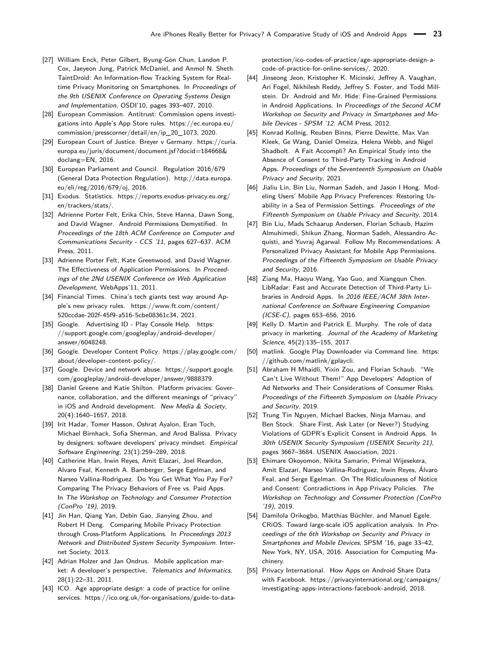- <span id="page-17-9"></span>[27] William Enck, Peter Gilbert, Byung-Gon Chun, Landon P. Cox, Jaeyeon Jung, Patrick McDaniel, and Anmol N. Sheth. TaintDroid: An Information-flow Tracking System for Realtime Privacy Monitoring on Smartphones. In Proceedings of the 9th USENIX Conference on Operating Systems Design and Implementation, OSDI'10, pages 393–407, 2010.
- <span id="page-17-3"></span>[28] European Commission. Antitrust: Commission opens investigations into Apple's App Store rules. [https://ec.europa.eu/](https://ec.europa.eu/commission/presscorner/detail/en/ip_20_1073) [commission/presscorner/detail/en/ip\\_20\\_1073,](https://ec.europa.eu/commission/presscorner/detail/en/ip_20_1073) 2020.
- <span id="page-17-25"></span>[29] European Court of Justice. Breyer v Germany. [https://curia.](https://curia.europa.eu/juris/document/document.jsf?docid=184668&doclang=EN) [europa.eu/juris/document/document.jsf?docid=184668&](https://curia.europa.eu/juris/document/document.jsf?docid=184668&doclang=EN) [doclang=EN,](https://curia.europa.eu/juris/document/document.jsf?docid=184668&doclang=EN) 2016.
- <span id="page-17-15"></span>[30] European Parliament and Council. Regulation 2016/679 (General Data Protection Regulation). [http://data.europa.](http://data.europa.eu/eli/reg/2016/679/oj) [eu/eli/reg/2016/679/oj,](http://data.europa.eu/eli/reg/2016/679/oj) 2016.
- <span id="page-17-17"></span>[31] Exodus. Statistics. [https://reports.exodus-privacy.eu.org/](https://reports.exodus-privacy.eu.org/en/trackers/stats/) [en/trackers/stats/.](https://reports.exodus-privacy.eu.org/en/trackers/stats/)
- <span id="page-17-10"></span>[32] Adrienne Porter Felt, Erika Chin, Steve Hanna, Dawn Song, and David Wagner. Android Permissions Demystified. In Proceedings of the 18th ACM Conference on Computer and Communications Security - CCS '11, pages 627–637. ACM Press, 2011.
- <span id="page-17-11"></span>[33] Adrienne Porter Felt, Kate Greenwood, and David Wagner. The Effectiveness of Application Permissions. In Proceedings of the 2Nd USENIX Conference on Web Application Development, WebApps'11, 2011.
- <span id="page-17-26"></span>[34] Financial Times. China's tech giants test way around Apple's new privacy rules. [https://www.ft.com/content/](https://www.ft.com/content/520ccdae-202f-45f9-a516-5cbe08361c34) [520ccdae-202f-45f9-a516-5cbe08361c34,](https://www.ft.com/content/520ccdae-202f-45f9-a516-5cbe08361c34) 2021.
- <span id="page-17-23"></span>[35] Google. Advertising ID - Play Console Help. [https:](https://support.google.com/googleplay/android-developer/answer/6048248) [//support.google.com/googleplay/android-developer/](https://support.google.com/googleplay/android-developer/answer/6048248) [answer/6048248.](https://support.google.com/googleplay/android-developer/answer/6048248)
- <span id="page-17-28"></span>[36] Google. Developer Content Policy. [https://play.google.com/](https://play.google.com/about/developer-content-policy/) [about/developer-content-policy/.](https://play.google.com/about/developer-content-policy/)
- <span id="page-17-5"></span>[37] Google. Device and network abuse. [https://support.google.](https://support.google.com/googleplay/android-developer/answer/9888379) [com/googleplay/android-developer/answer/9888379.](https://support.google.com/googleplay/android-developer/answer/9888379)
- <span id="page-17-6"></span>[38] Daniel Greene and Katie Shilton. Platform privacies: Governance, collaboration, and the different meanings of "privacy" in iOS and Android development. New Media & Society, 20(4):1640–1657, 2018.
- <span id="page-17-18"></span>[39] Irit Hadar, Tomer Hasson, Oshrat Ayalon, Eran Toch, Michael Birnhack, Sofia Sherman, and Arod Balissa. Privacy by designers: software developers' privacy mindset. Empirical Software Engineering, 23(1):259–289, 2018.
- <span id="page-17-0"></span>[40] Catherine Han, Irwin Reyes, Amit Elazari, Joel Reardon, Alvaro Feal, Kenneth A. Bamberger, Serge Egelman, and Narseo Vallina-Rodriguez. Do You Get What You Pay For? Comparing The Privacy Behaviors of Free vs. Paid Apps. In The Workshop on Technology and Consumer Protection (ConPro '19), 2019.
- <span id="page-17-1"></span>[41] Jin Han, Qiang Yan, Debin Gao, Jianying Zhou, and Robert H Deng. Comparing Mobile Privacy Protection through Cross-Platform Applications. In Proceedings 2013 Network and Distributed System Security Symposium. Internet Society, 2013.
- <span id="page-17-4"></span>[42] Adrian Holzer and Jan Ondrus. Mobile application market: A developer's perspective. Telematics and Informatics, 28(1):22–31, 2011.
- <span id="page-17-27"></span>[43] ICO. Age appropriate design: a code of practice for online services. [https://ico.org.uk/for-organisations/guide-to-data-](https://ico.org.uk/for-organisations/guide-to-data-protection/ico-codes-of-practice/age-appropriate-design-a-code-of-practice-for-online-services/)

[protection/ico-codes-of-practice/age-appropriate-design-a](https://ico.org.uk/for-organisations/guide-to-data-protection/ico-codes-of-practice/age-appropriate-design-a-code-of-practice-for-online-services/)[code-of-practice-for-online-services/,](https://ico.org.uk/for-organisations/guide-to-data-protection/ico-codes-of-practice/age-appropriate-design-a-code-of-practice-for-online-services/) 2020.

- <span id="page-17-12"></span>[44] Jinseong Jeon, Kristopher K. Micinski, Jeffrey A. Vaughan, Ari Fogel, Nikhilesh Reddy, Jeffrey S. Foster, and Todd Millstein. Dr. Android and Mr. Hide: Fine-Grained Permissions in Android Applications. In Proceedings of the Second ACM Workshop on Security and Privacy in Smartphones and Mobile Devices - SPSM '12. ACM Press, 2012.
- <span id="page-17-21"></span>[45] Konrad Kollnig, Reuben Binns, Pierre Dewitte, Max Van Kleek, Ge Wang, Daniel Omeiza, Helena Webb, and Nigel Shadbolt. A Fait Accompli? An Empirical Study into the Absence of Consent to Third-Party Tracking in Android Apps. Proceedings of the Seventeenth Symposium on Usable Privacy and Security, 2021.
- <span id="page-17-13"></span>[46] Jialiu Lin, Bin Liu, Norman Sadeh, and Jason I Hong. Modeling Users' Mobile App Privacy Preferences: Restoring Usability in a Sea of Permission Settings. Proceedings of the Fifteenth Symposium on Usable Privacy and Security, 2014.
- <span id="page-17-14"></span>[47] Bin Liu, Mads Schaarup Andersen, Florian Schaub, Hazim Almuhimedi, Shikun Zhang, Norman Sadeh, Alessandro Acquisti, and Yuvraj Agarwal. Follow My Recommendations: A Personalized Privacy Assistant for Mobile App Permissions. Proceedings of the Fifteenth Symposium on Usable Privacy and Security, 2016.
- <span id="page-17-20"></span>[48] Ziang Ma, Haoyu Wang, Yao Guo, and Xiangqun Chen. LibRadar: Fast and Accurate Detection of Third-Party Libraries in Android Apps. In 2016 IEEE/ACM 38th International Conference on Software Engineering Companion (ICSE-C), pages 653–656, 2016.
- <span id="page-17-7"></span>[49] Kelly D. Martin and Patrick E. Murphy. The role of data privacy in marketing. Journal of the Academy of Marketing Science, 45(2):135–155, 2017.
- <span id="page-17-16"></span>[50] matlink. Google Play Downloader via Command line. [https:](https://github.com/matlink/gplaycli) [//github.com/matlink/gplaycli.](https://github.com/matlink/gplaycli)
- <span id="page-17-19"></span>[51] Abraham H Mhaidli, Yixin Zou, and Florian Schaub. "We Can't Live Without Them!" App Developers' Adoption of Ad Networks and Their Considerations of Consumer Risks. Proceedings of the Fifteenth Symposium on Usable Privacy and Security, 2019.
- <span id="page-17-22"></span>[52] Trung Tin Nguyen, Michael Backes, Ninja Marnau, and Ben Stock. Share First, Ask Later (or Never?) Studying Violations of GDPR's Explicit Consent in Android Apps. In 30th USENIX Security Symposium (USENIX Security 21), pages 3667–3684. USENIX Association, 2021.
- <span id="page-17-2"></span>[53] Ehimare Okoyomon, Nikita Samarin, Primal Wijesekera, Amit Elazari, Narseo Vallina-Rodriguez, Irwin Reyes, Álvaro Feal, and Serge Egelman. On The Ridiculousness of Notice and Consent: Contradictions in App Privacy Policies. The Workshop on Technology and Consumer Protection (ConPro '19), 2019.
- <span id="page-17-8"></span>[54] Damilola Orikogbo, Matthias Büchler, and Manuel Egele. CRiOS: Toward large-scale iOS application analysis. In Proceedings of the 6th Workshop on Security and Privacy in Smartphones and Mobile Devices, SPSM '16, page 33–42, New York, NY, USA, 2016. Association for Computing Machinery.
- <span id="page-17-24"></span>[55] Privacy International. How Apps on Android Share Data with Facebook. [https://privacyinternational.org/campaigns/](https://privacyinternational.org/campaigns/investigating-apps-interactions-facebook-android) [investigating-apps-interactions-facebook-android,](https://privacyinternational.org/campaigns/investigating-apps-interactions-facebook-android) 2018.